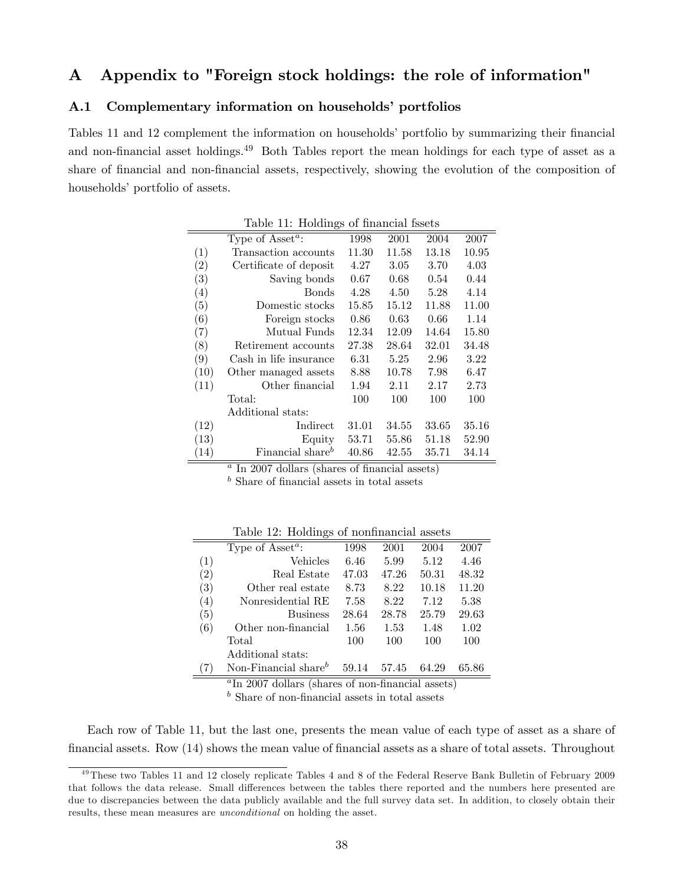# A Appendix to "Foreign stock holdings: the role of information"

## A.1 Complementary information on households' portfolios

Tables 11 and 12 complement the information on households' portfolio by summarizing their financial and non-financial asset holdings.<sup>49</sup> Both Tables report the mean holdings for each type of asset as a share of financial and non-financial assets, respectively, showing the evolution of the composition of households' portfolio of assets.

|      | $\frac{1}{2}$                             |          |       |       |       |
|------|-------------------------------------------|----------|-------|-------|-------|
|      | Type of Asset <sup><math>a</math></sup> : | 1998     | 2001  | 2004  | 2007  |
| (1)  | Transaction accounts                      | 11.30    | 11.58 | 13.18 | 10.95 |
| (2)  | Certificate of deposit                    | 4.27     | 3.05  | 3.70  | 4.03  |
| (3)  | Saving bonds                              | 0.67     | 0.68  | 0.54  | 0.44  |
| (4)  | <b>Bonds</b>                              | 4.28     | 4.50  | 5.28  | 4.14  |
| (5)  | Domestic stocks                           | 15.85    | 15.12 | 11.88 | 11.00 |
| (6)  | Foreign stocks                            | 0.86     | 0.63  | 0.66  | 1.14  |
| (7)  | Mutual Funds                              | 12.34    | 12.09 | 14.64 | 15.80 |
| (8)  | Retirement accounts                       | 27.38    | 28.64 | 32.01 | 34.48 |
| (9)  | Cash in life insurance                    | $6.31\,$ | 5.25  | 2.96  | 3.22  |
| (10) | Other managed assets                      | 8.88     | 10.78 | 7.98  | 6.47  |
| (11) | Other financial                           | 1.94     | 2.11  | 2.17  | 2.73  |
|      | Total:                                    | 100      | 100   | 100   | 100   |
|      | Additional stats:                         |          |       |       |       |
| (12) | Indirect                                  | 31.01    | 34.55 | 33.65 | 35.16 |
| (13) | Equity                                    | 53.71    | 55.86 | 51.18 | 52.90 |
| (14) | Financial share <sup>b</sup>              | 40.86    | 42.55 | 35.71 | 34.14 |

Table 11: Holdings of financial fssets

 $a$  In 2007 dollars (shares of financial assets)

 $<sup>b</sup>$  Share of financial assets in total assets</sup>

|                   | Type of Asset <sup><math>a</math></sup> : | 1998  | 2001  | 2004  | 2007  |
|-------------------|-------------------------------------------|-------|-------|-------|-------|
| (1)               | Vehicles                                  | 6.46  | 5.99  | 5.12  | 4.46  |
| $\left( 2\right)$ | Real Estate                               | 47.03 | 47.26 | 50.31 | 48.32 |
| $\left( 3\right)$ | Other real estate                         | 8.73  | 8.22  | 10.18 | 11.20 |
| (4)               | Nonresidential RE                         | 7.58  | 8.22  | 7.12  | 5.38  |
| (5)               | <b>Business</b>                           | 28.64 | 28.78 | 25.79 | 29.63 |
| (6)               | Other non-financial                       | 1.56  | 1.53  | 1.48  | 1.02  |
|                   | Total                                     | 100   | 100   | 100   | 100   |
|                   | Additional stats:                         |       |       |       |       |
|                   | Non-Financial share $^b$                  | 59.14 | 57.45 | 64.29 | 65.86 |
|                   |                                           |       |       |       |       |

Table 12: Holdings of nonfinancial assets

<sup>a</sup>In 2007 dollars (shares of non-financial assets)

 $<sup>b</sup>$  Share of non-financial assets in total assets</sup>

Each row of Table 11, but the last one, presents the mean value of each type of asset as a share of financial assets. Row (14) shows the mean value of financial assets as a share of total assets. Throughout

<sup>49</sup>These two Tables 11 and 12 closely replicate Tables 4 and 8 of the Federal Reserve Bank Bulletin of February 2009 that follows the data release. Small differences between the tables there reported and the numbers here presented are due to discrepancies between the data publicly available and the full survey data set. In addition, to closely obtain their results, these mean measures are unconditional on holding the asset.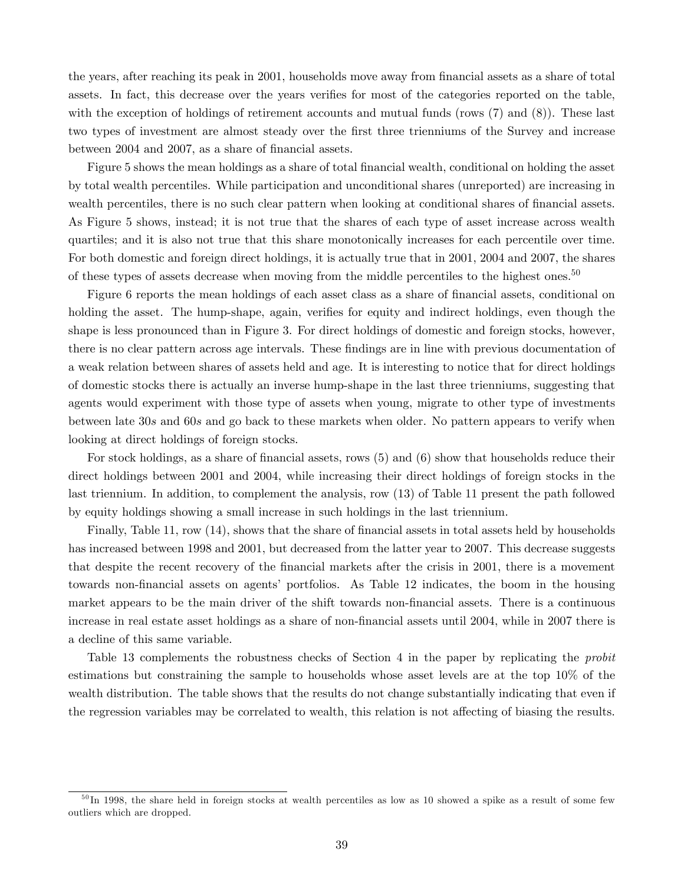the years, after reaching its peak in 2001, households move away from financial assets as a share of total assets. In fact, this decrease over the years verifies for most of the categories reported on the table, with the exception of holdings of retirement accounts and mutual funds (rows (7) and (8)). These last two types of investment are almost steady over the first three trienniums of the Survey and increase between 2004 and 2007, as a share of financial assets.

Figure 5 shows the mean holdings as a share of total financial wealth, conditional on holding the asset by total wealth percentiles. While participation and unconditional shares (unreported) are increasing in wealth percentiles, there is no such clear pattern when looking at conditional shares of financial assets. As Figure 5 shows, instead; it is not true that the shares of each type of asset increase across wealth quartiles; and it is also not true that this share monotonically increases for each percentile over time. For both domestic and foreign direct holdings, it is actually true that in 2001, 2004 and 2007, the shares of these types of assets decrease when moving from the middle percentiles to the highest ones.<sup>50</sup>

Figure 6 reports the mean holdings of each asset class as a share of financial assets, conditional on holding the asset. The hump-shape, again, verifies for equity and indirect holdings, even though the shape is less pronounced than in Figure 3. For direct holdings of domestic and foreign stocks, however, there is no clear pattern across age intervals. These findings are in line with previous documentation of a weak relation between shares of assets held and age. It is interesting to notice that for direct holdings of domestic stocks there is actually an inverse hump-shape in the last three trienniums, suggesting that agents would experiment with those type of assets when young, migrate to other type of investments between late 30s and 60s and go back to these markets when older. No pattern appears to verify when looking at direct holdings of foreign stocks.

For stock holdings, as a share of financial assets, rows  $(5)$  and  $(6)$  show that households reduce their direct holdings between 2001 and 2004, while increasing their direct holdings of foreign stocks in the last triennium. In addition, to complement the analysis, row (13) of Table 11 present the path followed by equity holdings showing a small increase in such holdings in the last triennium.

Finally, Table 11, row (14), shows that the share of financial assets in total assets held by households has increased between 1998 and 2001, but decreased from the latter year to 2007. This decrease suggests that despite the recent recovery of the financial markets after the crisis in 2001, there is a movement towards non-financial assets on agents' portfolios. As Table 12 indicates, the boom in the housing market appears to be the main driver of the shift towards non-financial assets. There is a continuous increase in real estate asset holdings as a share of non-financial assets until 2004, while in 2007 there is a decline of this same variable.

Table 13 complements the robustness checks of Section 4 in the paper by replicating the *probit* estimations but constraining the sample to households whose asset levels are at the top 10% of the wealth distribution. The table shows that the results do not change substantially indicating that even if the regression variables may be correlated to wealth, this relation is not affecting of biasing the results.

 $^{50}$ In 1998, the share held in foreign stocks at wealth percentiles as low as 10 showed a spike as a result of some few outliers which are dropped.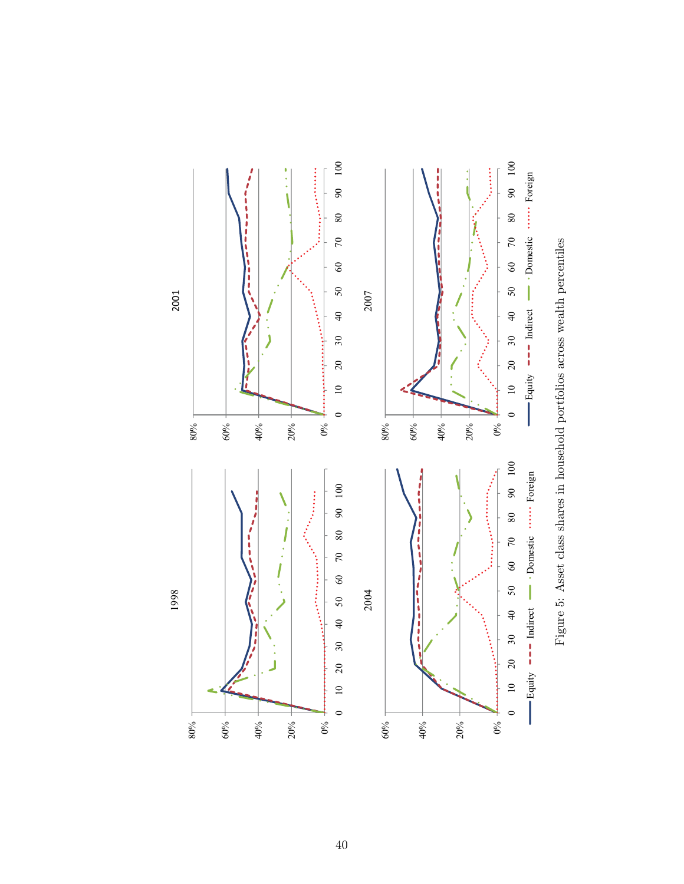

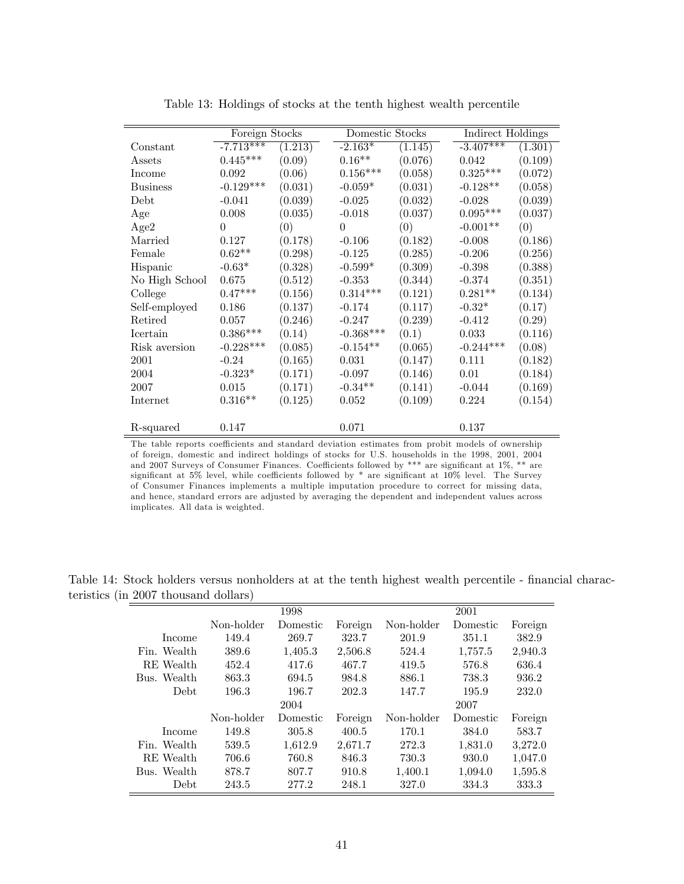|                 | Foreign Stocks         |         | Domestic Stocks |         | Indirect Holdings |         |
|-----------------|------------------------|---------|-----------------|---------|-------------------|---------|
| Constant        | $-7.713***$            | (1.213) | $-2.163*$       | (1.145) | $-3.407***$       | (1.301) |
| Assets          | $0.445***$             | (0.09)  | $0.16**$        | (0.076) | 0.042             | (0.109) |
| Income          | 0.092                  | (0.06)  | $0.156***$      | (0.058) | $0.325^{***}\;$   | (0.072) |
| <b>Business</b> | $-0.129***$            | (0.031) | $-0.059*$       | (0.031) | $-0.128**$        | (0.058) |
| Debt            | $-0.041$               | (0.039) | $-0.025$        | (0.032) | $-0.028$          | (0.039) |
| Age             | 0.008                  | (0.035) | $-0.018$        | (0.037) | $0.095***$        | (0.037) |
| Age2            | $\Omega$               | (0)     | $\Omega$        | (0)     | $-0.001**$        | (0)     |
| Married         | 0.127                  | (0.178) | $-0.106$        | (0.182) | $-0.008$          | (0.186) |
| Female          | $0.62**$               | (0.298) | $-0.125$        | (0.285) | $-0.206$          | (0.256) |
| Hispanic        | $-0.63*$               | (0.328) | $-0.599*$       | (0.309) | $-0.398$          | (0.388) |
| No High School  | 0.675                  | (0.512) | $-0.353$        | (0.344) | $-0.374$          | (0.351) |
| College         | $0.47***$              | (0.156) | $0.314***$      | (0.121) | $0.281**$         | (0.134) |
| Self-employed   | 0.186                  | (0.137) | $-0.174$        | (0.117) | $-0.32*$          | (0.17)  |
| Retired         | 0.057                  | (0.246) | $-0.247$        | (0.239) | $-0.412$          | (0.29)  |
| Icertain        | $0.386^{\ast\ast\ast}$ | (0.14)  | $-0.368***$     | (0.1)   | 0.033             | (0.116) |
| Risk aversion   | $-0.228***$            | (0.085) | $-0.154**$      | (0.065) | $-0.244***$       | (0.08)  |
| 2001            | $-0.24$                | (0.165) | 0.031           | (0.147) | 0.111             | (0.182) |
| 2004            | $-0.323*$              | (0.171) | $-0.097$        | (0.146) | 0.01              | (0.184) |
| 2007            | 0.015                  | (0.171) | $-0.34**$       | (0.141) | $-0.044$          | (0.169) |
| Internet        | $0.316**$              | (0.125) | 0.052           | (0.109) | 0.224             | (0.154) |
|                 |                        |         |                 |         |                   |         |
| R-squared       | 0.147                  |         | 0.071           |         | 0.137             |         |

Table 13: Holdings of stocks at the tenth highest wealth percentile

The table reports coefficients and standard deviation estimates from probit models of ownership of foreign, domestic and indirect holdings of stocks for U.S. households in the 1998, 2001, 2004 and 2007 Surveys of Consumer Finances. Coefficients followed by \*\*\* are significant at  $1\%$ , \*\* are significant at  $5\%$  level, while coefficients followed by  $*$  are significant at  $10\%$  level. The Survey of Consumer Finances implements a multiple imputation procedure to correct for missing data, and hence, standard errors are adjusted by averaging the dependent and independent values across implicates. All data is weighted.

|             |            | 1998     |         |            | 2001     |         |
|-------------|------------|----------|---------|------------|----------|---------|
|             | Non-holder | Domestic | Foreign | Non-holder | Domestic | Foreign |
| Income      | 149.4      | 269.7    | 323.7   | 201.9      | 351.1    | 382.9   |
| Fin. Wealth | 389.6      | 1,405.3  | 2,506.8 | 524.4      | 1,757.5  | 2,940.3 |
| RE Wealth   | 452.4      | 417.6    | 467.7   | 419.5      | 576.8    | 636.4   |
| Bus. Wealth | 863.3      | 694.5    | 984.8   | 886.1      | 738.3    | 936.2   |
| <b>Debt</b> | 196.3      | 196.7    | 202.3   | 147.7      | 195.9    | 232.0   |
|             |            | 2004     |         |            | 2007     |         |
|             | Non-holder | Domestic | Foreign | Non-holder | Domestic | Foreign |
| Income      | 149.8      | 305.8    | 400.5   | 170.1      | 384.0    | 583.7   |
| Fin. Wealth | 539.5      | 1.612.9  | 2,671.7 | 272.3      | 1.831.0  | 3,272.0 |
| RE Wealth   | 706.6      | 760.8    | 846.3   | 730.3      | 930.0    | 1,047.0 |
| Bus. Wealth | 878.7      | 807.7    | 910.8   | 1,400.1    | 1,094.0  | 1,595.8 |
| Debt.       | 243.5      | 277.2    | 248.1   | 327.0      | 334.3    | 333.3   |

Table 14: Stock holders versus nonholders at at the tenth highest wealth percentile - financial characteristics (in 2007 thousand dollars)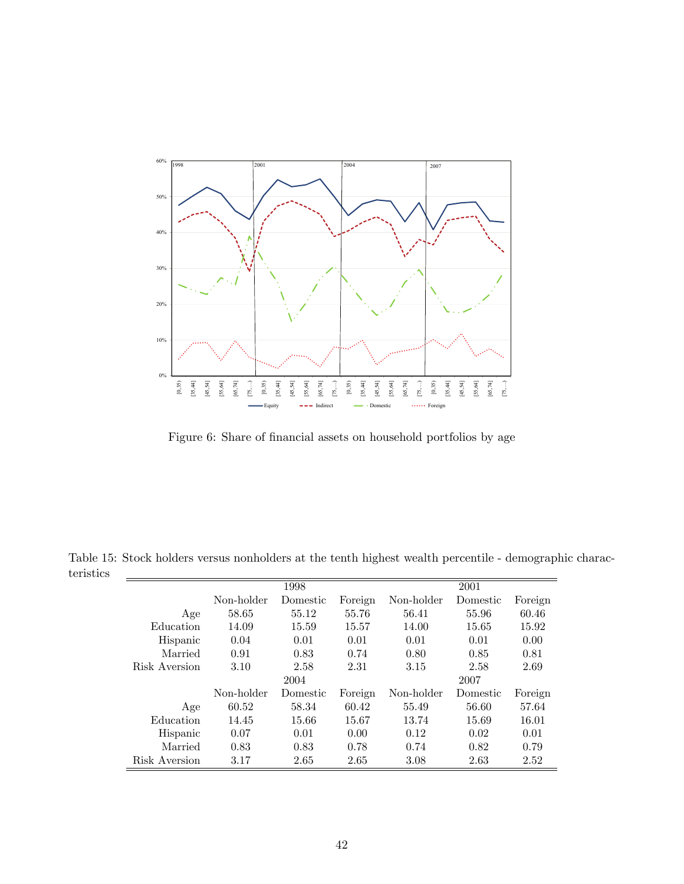

Figure 6: Share of financial assets on household portfolios by age

Table 15: Stock holders versus nonholders at the tenth highest wealth percentile - demographic characteristics

|               |            | 1998     |         |            | 2001     |         |
|---------------|------------|----------|---------|------------|----------|---------|
|               | Non-holder | Domestic | Foreign | Non-holder | Domestic | Foreign |
| Age           | 58.65      | 55.12    | 55.76   | 56.41      | 55.96    | 60.46   |
| Education     | 14.09      | 15.59    | 15.57   | 14.00      | 15.65    | 15.92   |
| Hispanic      | 0.04       | 0.01     | 0.01    | 0.01       | 0.01     | 0.00    |
| Married       | 0.91       | 0.83     | 0.74    | 0.80       | 0.85     | 0.81    |
| Risk Aversion | 3.10       | 2.58     | 2.31    | 3.15       | 2.58     | 2.69    |
|               |            | 2004     |         |            | 2007     |         |
|               | Non-holder | Domestic | Foreign | Non-holder | Domestic | Foreign |
| Age           | 60.52      | 58.34    | 60.42   | 55.49      | 56.60    | 57.64   |
| Education     | 14.45      | 15.66    | 15.67   | 13.74      | 15.69    | 16.01   |
| Hispanic      | 0.07       | 0.01     | 0.00    | 0.12       | 0.02     | 0.01    |
| Married       | 0.83       | 0.83     | 0.78    | 0.74       | 0.82     | 0.79    |
| Risk Aversion | 3.17       | 2.65     | 2.65    | 3.08       | 2.63     | 2.52    |
|               |            |          |         |            |          |         |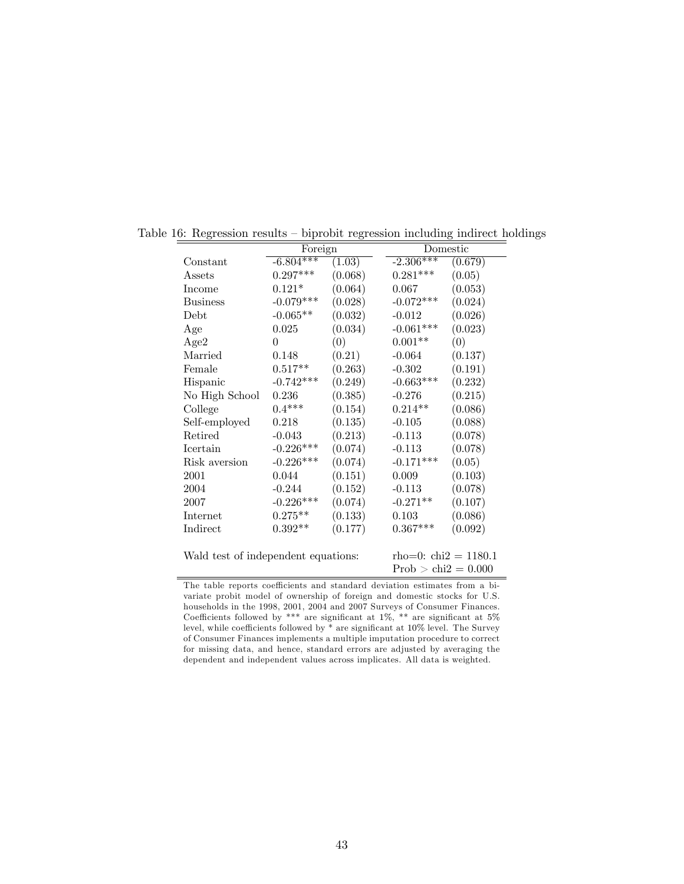|                                     | Foreign     |         |                       | Domestic                   |
|-------------------------------------|-------------|---------|-----------------------|----------------------------|
| Constant                            | $-6.804***$ | (1.03)  | $-2.306***$           | (0.679)                    |
| Assets                              | $0.297***$  | (0.068) | $0.281***$            | (0.05)                     |
| Income                              | $0.121*$    | (0.064) | 0.067                 | (0.053)                    |
| <b>Business</b>                     | $-0.079***$ | (0.028) | $-0.072***$           | (0.024)                    |
| Debt                                | $-0.065**$  | (0.032) | $-0.012$              | (0.026)                    |
| Age                                 | 0.025       | (0.034) | $-0.061***$           | (0.023)                    |
| Age2                                | $\theta$    | (0)     | $0.001**$             | (0)                        |
| Married                             | 0.148       | (0.21)  | $-0.064$              | (0.137)                    |
| Female                              | $0.517**$   | (0.263) | $-0.302$              | (0.191)                    |
| Hispanic                            | $-0.742***$ | (0.249) | $-0.663***$           | (0.232)                    |
| No High School                      | 0.236       | (0.385) | $-0.276$              | (0.215)                    |
| College                             | $0.4***$    | (0.154) | $0.214**$             | (0.086)                    |
| Self-employed                       | 0.218       | (0.135) | $-0.105$              | (0.088)                    |
| Retired                             | $-0.043$    | (0.213) | $-0.113$              | (0.078)                    |
| Icertain                            | $-0.226***$ | (0.074) | $-0.113$              | (0.078)                    |
| Risk aversion                       | $-0.226***$ | (0.074) | $-0.171***$           | (0.05)                     |
| 2001                                | 0.044       | (0.151) | 0.009                 | (0.103)                    |
| 2004                                | $-0.244$    | (0.152) | $-0.113$              | (0.078)                    |
| 2007                                | $-0.226***$ | (0.074) | $-0.271**$            | (0.107)                    |
| Internet                            | $0.275**$   | (0.133) | 0.103                 | (0.086)                    |
| Indirect                            | $0.392**$   | (0.177) | $0.367***$            | (0.092)                    |
|                                     |             |         |                       |                            |
| Wald test of independent equations: |             |         |                       | $rho=0$ : chi $2 = 1180.1$ |
|                                     |             |         | $Prob > chi2 = 0.000$ |                            |

Table 16: Regression results  $-$  biprobit regression including indirect holdings

The table reports coefficients and standard deviation estimates from a bivariate probit model of ownership of foreign and domestic stocks for U.S. households in the 1998, 2001, 2004 and 2007 Surveys of Consumer Finances. Coefficients followed by \*\*\* are significant at  $1\%$ , \*\* are significant at  $5\%$ level, while coefficients followed by  $*$  are significant at  $10\%$  level. The Survey of Consumer Finances implements a multiple imputation procedure to correct for missing data, and hence, standard errors are adjusted by averaging the dependent and independent values across implicates. All data is weighted.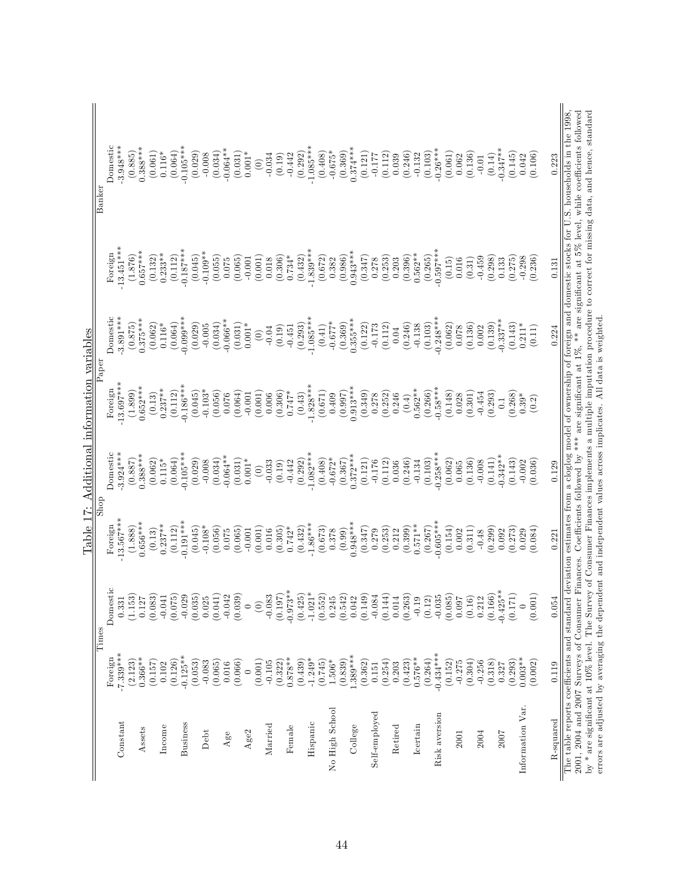|                                                                                                                |                        |                   |                        |                        | Table 17: Additional information variables |                        |                        |                                                                                                                                                                   |
|----------------------------------------------------------------------------------------------------------------|------------------------|-------------------|------------------------|------------------------|--------------------------------------------|------------------------|------------------------|-------------------------------------------------------------------------------------------------------------------------------------------------------------------|
|                                                                                                                | Times                  |                   | Shop                   |                        | $\bar{P}$ aper                             |                        |                        | Banker                                                                                                                                                            |
| Constant                                                                                                       | $-7.339***$<br>Foreign | Domestic<br>0.331 | $13.567***$<br>Foreign | Domestic<br>$3.924***$ | 13.697***<br>Foreign                       | Domestic<br>$3.891***$ | $13.451***$<br>Foreign | Domestic<br>$3.948***$                                                                                                                                            |
|                                                                                                                | (2.123)                | (1.153)           | (1.888)                | (0.887)                | (1.899)                                    | (0.875)                | (1.876)                | (0.885)                                                                                                                                                           |
| Assets                                                                                                         | $0.366**$              | 0.127             | $0.656***$             | $0.388***$             | $0.652***$                                 | $0.375***$             | $0.657***$             | $0.388***$                                                                                                                                                        |
|                                                                                                                | (0.157)                | (0.083)           | (0.13)                 | (0.062)                | (0.13)                                     | (0.062)                | (0.132)                | (0.061)                                                                                                                                                           |
| Income                                                                                                         | 0.102                  | $-0.041$          | $0.237***$             | $0.115*$               | $0.237***$                                 | $0.116*$               | $0.233**$              | $0.116*$                                                                                                                                                          |
|                                                                                                                | (0.126)                | (0.075)           | (0.112)                | (0.064)                | (0.112)                                    | (0.064)                | (0.112)                | (0.064)                                                                                                                                                           |
| Business                                                                                                       | $-0.125**$             | $-0.029$          | $-0.191***$            | $0.105***$             | $-0.186***$                                | 0.000                  | $-0.187***$            | $-0.105***$                                                                                                                                                       |
|                                                                                                                | (0.053)                | (0.035)           | (0.045)                | (0.029)                | (0.045)                                    | (0.029)                | (0.045)                | (0.029)                                                                                                                                                           |
| Debt                                                                                                           | $-0.083$               | 0.025             | $-0.108*$              | $-0.008$               | $-0.103*$                                  | $-0.005$               | $-0.109**$             | $-0.008$                                                                                                                                                          |
|                                                                                                                | (0.065)                | (0.041)           | (0.056)                | (0.034)                | (0.056)                                    | (0.034)                | (0.055)                | (0.034)                                                                                                                                                           |
| $\rm Age$                                                                                                      | 0.016                  | $-0.042$          | 0.075                  | $-0.064**$             | 0.076                                      | $-0.066**$             | 0.075                  | $-0.064**$                                                                                                                                                        |
|                                                                                                                | (0.066)                | (0.039)           | (0.065)                | (0.031)                | (0.064)                                    | (0.031)                | (0.065)                | (0.031)                                                                                                                                                           |
| Age2                                                                                                           | $\circ$                | $\circ$           | $-0.001$               | $0.001*$               | $-0.001$                                   | $0.001*$               | $-0.001$               | $0.001*$                                                                                                                                                          |
|                                                                                                                | (0.001)                | $\widehat{\odot}$ | (0.001)                | $\odot$                | (0.001)                                    | $\odot$                | (0.001)                | $\begin{array}{c} \n\odot \n\end{array}$                                                                                                                          |
| Married                                                                                                        | $-0.105$               | $-0.083$          | 0.016                  | $-0.033$               | 0.006                                      | $-0.04$                | 0.018                  | $-0.034$                                                                                                                                                          |
|                                                                                                                | (0.322)                | (0.197)           | (0.305)                | (0.19)                 | (0.306)                                    | (0.19)                 | (0.306)                | (0.19)                                                                                                                                                            |
| Female                                                                                                         | $0.878**$              | $-0.973**$        | $0.742*$               | $-0.442$               | $0.747*$                                   | $-0.451$               | $0.734*$               | $-0.442$                                                                                                                                                          |
|                                                                                                                | (0.439)                | (0.425)           | (0.432)                | (0.292)                | (0.43)                                     | (0.293)                | (0.432)                | (0.292)                                                                                                                                                           |
| Hispanic                                                                                                       | $-1.249*$              | $-1.021*$         | $-1.86***$             | $-1.082***$            | $-1.828***$                                | $-1.085***$            | $-1.839***$            | $-1.085***$                                                                                                                                                       |
|                                                                                                                | (0.745)                | (0.552)           | (0.673)                | (0.408)                | (0.671)                                    | (0.41)                 | (0.672)                | (0.408)                                                                                                                                                           |
| No High School                                                                                                 | $1.506*$               | 0.245             | 0.378                  | $-0.672*$              | 0.409                                      | $-0.677*$              | 0.382                  | $-0.675*$                                                                                                                                                         |
|                                                                                                                | (0.839)                | (0.542)           | (0.99)                 | (0.367)                | (0.997)                                    | (0.369)                | (0.986)                | (0.369)                                                                                                                                                           |
| College                                                                                                        | $1.389***$             | 0.042             | $0.948***$             | $0.372***$             | $0.913***$                                 | $0.355***$             | $0.943***$             | $0.374***$                                                                                                                                                        |
|                                                                                                                | (0.362)                | (0.149)           | (0.347)                | (0.121)                | (0.349)                                    | (0.122)                | (0.347)                | (0.121)                                                                                                                                                           |
| Self-employed                                                                                                  | 0.151                  | $-0.084$          | 0.279                  | $-0.176$               | 0.278                                      | $-0.173$               | 0.278                  | $-0.177$                                                                                                                                                          |
|                                                                                                                | (0.254)                | (0.144)           | (0.253)                | (0.112)                | (0.252)                                    | (0.112)                | (0.253)                | (0.112)                                                                                                                                                           |
| Retired                                                                                                        | 0.203                  | 0.014             | 0.212                  | 0.036                  | 0.246                                      | $0.04\,$               | 0.203                  | 0.039                                                                                                                                                             |
|                                                                                                                | (0.423)                | (0.263)           | (0.399)                | (0.246)                | (0.4)                                      | (0.246)                | (0.396)                | (0.246)                                                                                                                                                           |
| Icertain                                                                                                       | $0.576**$              | $-0.19$           | $0.571**$              | $-0.134$               | $0.562**$                                  | $-0.138$               | $0.562**$              | $-0.132$                                                                                                                                                          |
|                                                                                                                | (0.264)                | (0.12)            | (0.267)                | (0.103)                | (0.266)                                    | (0.103)                | (0.265)                | (0.103)                                                                                                                                                           |
| Risk aversion                                                                                                  | $-0.434***$            |                   | $-0.605***$            | $-0.258***$            | $-0.58***$                                 | $-0.248***$            | $-0.597***$            | $-0.26***$                                                                                                                                                        |
| 2001                                                                                                           | (0.152)<br>$-0.275$    | (0.085)<br>0.097  | (0.154)<br>0.002       | (0.062)<br>0.065       | (0.148)<br>0.028                           | (0.062)<br>0.078       | (0.15)<br>0.016        | (0.061)<br>0.062                                                                                                                                                  |
|                                                                                                                | (0.304)                | (0.16)            | (0.311)                | (0.136)                | (0.301)                                    | (0.136)                | (0.31)                 | (0.136)                                                                                                                                                           |
| 2004                                                                                                           | $-0.256$               | 0.212             | $-0.48$                | $-0.008$               | $-0.454$                                   | 0.002                  | $-0.459$               | $-0.01$                                                                                                                                                           |
|                                                                                                                | (0.318)                | (0.166)           | (0.299)                | (0.141)                | (0.293)                                    | (0.139)                | (0.298)                | (0.14)                                                                                                                                                            |
| 2007                                                                                                           | 0.327                  | $-0.425***$       | 0.092                  | $0.342**$              | 0.1                                        | $-0.337***$            | 0.133                  | $-0.347**$                                                                                                                                                        |
|                                                                                                                | (0.293)                | (0.171)           | (0.273)                | (0.143)                | (0.268)                                    | (0.143)                | (0.275)                | (0.145)                                                                                                                                                           |
| Information Var.                                                                                               | $0.003**$              | $\circ$           | 0.029                  | $-0.002$               | $0.39*$                                    | $0.211*$               | $-0.298$               | 0.042                                                                                                                                                             |
|                                                                                                                | (0.002)                | (0.001)           | (0.084)                | (0.036)                | (0.2)                                      | (0.11)                 | (0.236)                | (0.106)                                                                                                                                                           |
|                                                                                                                |                        |                   |                        |                        |                                            |                        |                        |                                                                                                                                                                   |
| R-squared                                                                                                      | 0.119                  | 0.054             | 0.221                  | 0.129                  |                                            | 0.224                  | 0.131                  | 0.223                                                                                                                                                             |
|                                                                                                                |                        |                   |                        |                        |                                            |                        |                        | The table reports coefficients and standard deviation estimates from a cloglog model of ownership of foreign and domestic stocks for U.S. households in the 1998, |
|                                                                                                                |                        |                   |                        |                        |                                            |                        |                        | 2001, 2004 and 2007 Surveys of Consumer Finances. Coefficients followed by *** are significant at 1%, ** are significant at 5% level, while coefficients followed |
|                                                                                                                |                        |                   |                        |                        |                                            |                        |                        | by $*$ are significant at 10% level. The Survey of Consumer Finances implements a multiple imputation procedure to correct for missing data, and hence, standard  |
| errors are adjusted by averaging the dependent and independent values across implicates. All data is weighted. |                        |                   |                        |                        |                                            |                        |                        |                                                                                                                                                                   |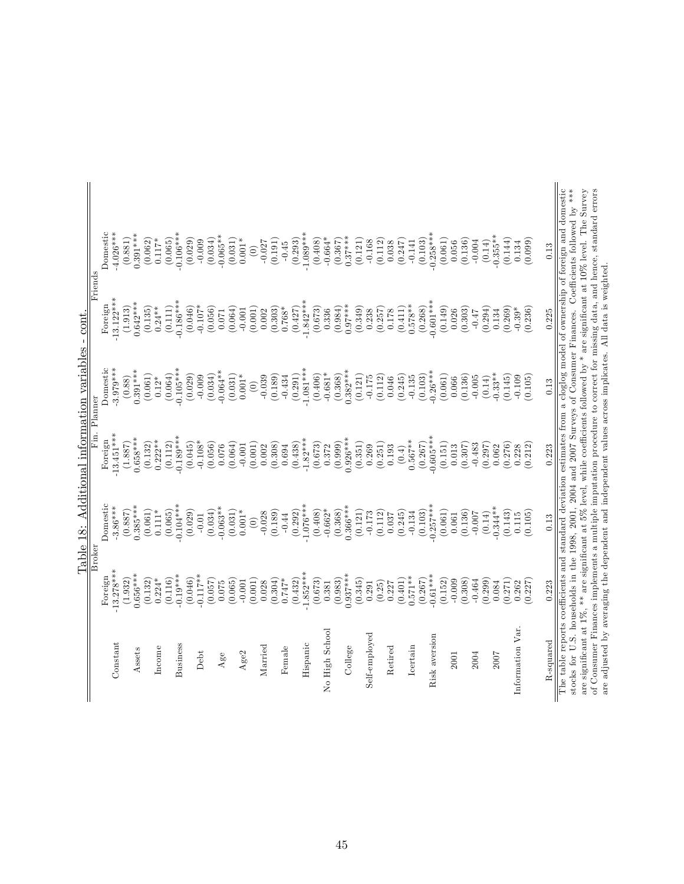|                      |                        | Broker      | Fin. Planner |                         | Friends                 |                        |
|----------------------|------------------------|-------------|--------------|-------------------------|-------------------------|------------------------|
|                      |                        | Domestic    | Foreign      |                         |                         |                        |
| Cons <sub>tant</sub> | $13.278***$<br>Foreign | $-3.86***$  | $-13.451***$ | Domestic<br>$-3.979***$ | $-13.122***$<br>Foreign | $4.026***$<br>Domestic |
|                      | (1.932)                | (0.887)     | (1.887)      | (0.88)                  | (1.913)                 | (0.881)                |
| Assets               | $0.656***$             | $0.385***$  | $0.658***$   | $0.391***$              | $0.642***$              | $0.391***$             |
|                      | (0.132)                | (0.061)     | (0.132)      | (0.061)                 | (0.135)                 | (0.062)                |
| Income               | $0.224*$               | $0.111*$    | $0.222**$    | $0.12*$                 | $0.24***$               | $0.117*$               |
|                      | (0.116)                | (0.065)     | (0.112)      | (0.064)                 | (0.111)                 | (0.065)                |
| Business             | $0.19***$              | $-0.104***$ | $0.189***$   | $-0.105***$             | $-0.186***$             | $-0.106***$            |
|                      | (0.046)                | (0.029)     | (0.045)      | (0.029)                 | (0.046)                 | (0.029)                |
| Debt                 | $-0.117**$             | $-0.01$     | $-0.108*$    | $-0.009$                | $-0.107*$               | $-0.009$               |
|                      | (0.057)                | (0.034)     | (0.056)      | (0.034)                 | (0.056)                 | (0.034)                |
| $Age$ e              | 0.075                  | $-0.063**$  | 0.076        | $-0.064**$              | 0.071                   | $-0.065**$             |
|                      | (0.065)                | (0.031)     | (0.064)      | (0.031)                 | (0.064)                 | (0.031)                |
| Age2                 | $-0.001$               | $0.001*$    | $-0.001$     | $0.001*$                | $-0.001$                | $0.001*$               |
|                      | (0.001)                | $\odot$     | (0.001)      | $\odot$                 | (0.001)                 | $\odot$                |
| Married              | 0.028                  | $-0.028$    | 0.002        | $-0.039$                | 0.002                   | $-0.027$               |
|                      | (0.304)                | (0.189)     | (0.308)      | (0.189)                 | (0.303)                 | (0.191)                |
| Female               | $0.747*$               | $-0.44$     | 0.694        | $-0.434$                | $0.768*$                | $-0.45$                |
|                      | (0.432)                | (0.292)     | (0.438)      | (0.291)                 | (0.427)                 | (0.293)                |
| Hispanic             | $-1.852***$            | $-1.076***$ | $-1.82***$   | $-1.081***$             | $-1.842***$             | $-1.089***$            |
|                      | (0.673)                | (0.408)     | (0.673)      | (0.406)                 | (0.673)                 | (0.408)                |
| No High School       | 0.381                  | $-0.662*$   | 0.372        | $-0.681*$               | 0.336                   | $-0.664*$              |
|                      | (0.983)                | (0.368)     | (0.999)      | (0.368)                 | (0.984)                 | (0.367)                |
| College              | $0.937***$             | $0.366***$  | $0.926***$   | $0.382***$              | $0.97***$               | $0.37***$              |
|                      | (0.345)                | (0.121)     | (0.351)      | (0.121)                 | (0.349)                 | (0.121)                |
| Self-employed        | 0.291                  | $-0.173$    | 0.269        | $-0.175$                | 0.238                   | $-0.168$               |
|                      | (0.25)                 | (0.112)     | (0.251)      | (0.112)                 | (0.257)                 | (0.112)                |
| Retired              | 0.227                  | 0.037       | 0.193        | 0.046                   | 0.178                   | 0.038                  |
|                      | (0.401)                | (0.245)     | (0.4)        | (0.245)                 | (0.411)                 | (0.247)                |
| Icertain             | $0.571**$              | $-0.134$    | $0.567***$   | $-0.135$                | $0.578**$               | $-0.141$               |
|                      | (0.267)                | (0.103)     | (0.267)      | (0.103)                 | (0.268)                 | (0.103)                |
| Risk aversion        | $0.61***$              | $0.257***$  | $0.605***$   | $-0.26***$              | $0.601***$              | $-0.258***$            |
|                      | (0.152)                | (0.061)     | (0.151)      | (0.061)                 | (0.149)                 | (0.061)                |
| 2001                 | $-0.009$               | $0.061\,$   | 0.013        | 0.066                   | 0.026                   | 0.056                  |
|                      | (0.308)                | (0.136)     | (0.307)      | (0.136)                 | (0.303)                 | (0.136)                |
| 2004                 | $-0.464$               | $-0.007$    | $-0.483$     | $-0.005$                | $-0.47$                 | $-0.004$               |
|                      | (0.299)                | (0.14)      | (0.297)      | (0.14)                  | (0.294)                 | (0.14)                 |
| 2007                 | 0.084                  | $0.344**$   | 0.062        | $-0.33**$               | 0.134                   | $0.355**$              |
|                      | (0.271)                | (0.143)     | (0.276)      | (0.145)                 | (0.269)                 | (0.144)                |
| Information Var.     | 0.262                  | 0.115       | 0.228        | $-0.109$                | $-0.39*$                | 0.134                  |
|                      | (0.227)                | (0.105)     | (0.212)      | (0.105)                 | (0.236)                 | (0.099)                |
| R-squared            | 0.223                  | 0.13        | 0.223        | 0.13                    | 0.225                   | 0.13                   |
|                      |                        |             |              |                         |                         |                        |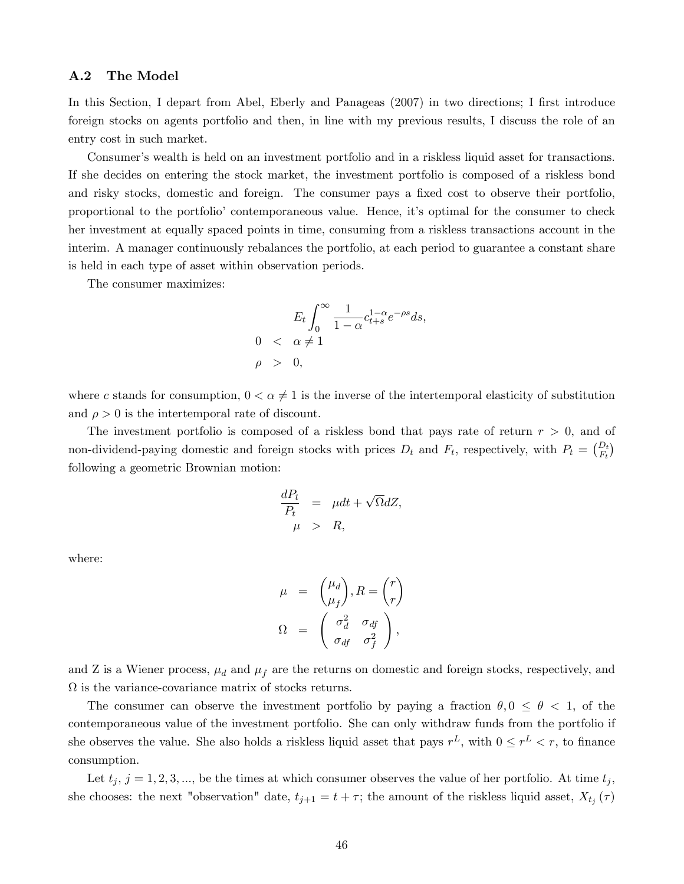### A.2 The Model

In this Section, I depart from Abel, Eberly and Panageas (2007) in two directions; I first introduce foreign stocks on agents portfolio and then, in line with my previous results, I discuss the role of an entry cost in such market.

Consumer's wealth is held on an investment portfolio and in a riskless liquid asset for transactions. If she decides on entering the stock market, the investment portfolio is composed of a riskless bond and risky stocks, domestic and foreign. The consumer pays a fixed cost to observe their portfolio, proportional to the portfolioí contemporaneous value. Hence, itís optimal for the consumer to check her investment at equally spaced points in time, consuming from a riskless transactions account in the interim. A manager continuously rebalances the portfolio, at each period to guarantee a constant share is held in each type of asset within observation periods.

The consumer maximizes:

$$
E_t \int_0^\infty \frac{1}{1-\alpha} c_{t+s}^{1-\alpha} e^{-\rho s} ds,
$$
  
0  $\langle \alpha \neq 1$   
 $\rho > 0,$ 

where c stands for consumption,  $0 < \alpha \neq 1$  is the inverse of the intertemporal elasticity of substitution and  $\rho > 0$  is the intertemporal rate of discount.

The investment portfolio is composed of a riskless bond that pays rate of return  $r > 0$ , and of non-dividend-paying domestic and foreign stocks with prices  $D_t$  and  $F_t$ , respectively, with  $P_t = \begin{pmatrix} D_t \\ F_t \end{pmatrix}$ following a geometric Brownian motion:

$$
\frac{dP_t}{P_t} = \mu dt + \sqrt{\Omega} dZ,
$$
  

$$
\mu > R,
$$

where:

$$
\mu = {\mu_d \choose \mu_f}, R = {r \choose r}
$$

$$
\Omega = {\sigma_d^2 \quad \sigma_{df} \choose \sigma_{df} \quad \sigma_f^2},
$$

and Z is a Wiener process,  $\mu_d$  and  $\mu_f$  are the returns on domestic and foreign stocks, respectively, and  $\Omega$  is the variance-covariance matrix of stocks returns.

The consumer can observe the investment portfolio by paying a fraction  $\theta, 0 \le \theta < 1$ , of the contemporaneous value of the investment portfolio. She can only withdraw funds from the portfolio if she observes the value. She also holds a riskless liquid asset that pays  $r<sup>L</sup>$ , with  $0 \le r<sup>L</sup> < r$ , to finance consumption.

Let  $t_j$ ,  $j = 1, 2, 3, \dots$ , be the times at which consumer observes the value of her portfolio. At time  $t_j$ , she chooses: the next "observation" date,  $t_{j+1} = t + \tau$ ; the amount of the riskless liquid asset,  $X_{t_j}(\tau)$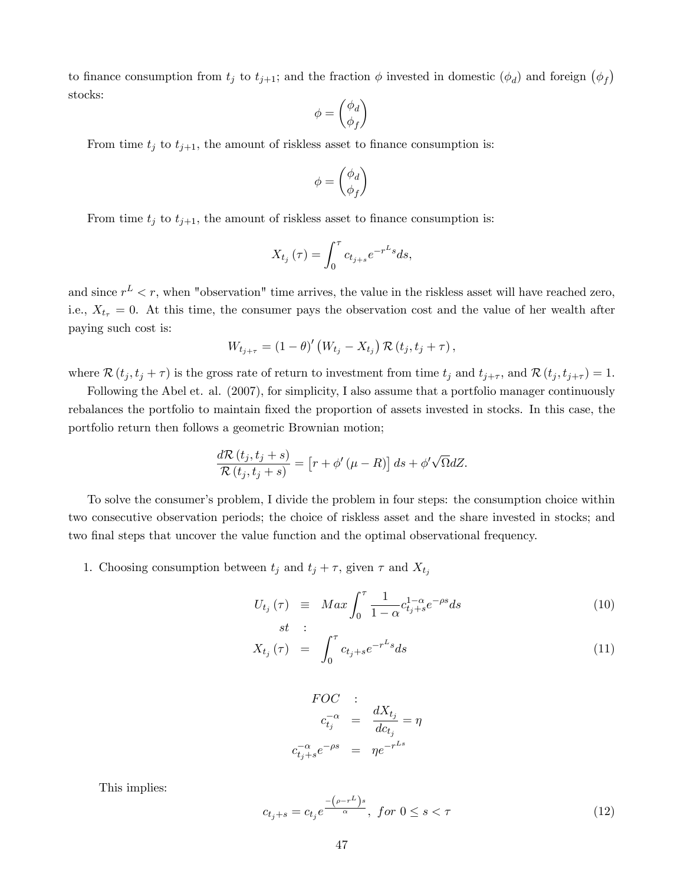to finance consumption from  $t_j$  to  $t_{j+1}$ ; and the fraction  $\phi$  invested in domestic  $(\phi_d)$  and foreign  $(\phi_f)$ stocks:

$$
\phi=\binom{\phi_d}{\phi_f}
$$

From time  $t_j$  to  $t_{j+1}$ , the amount of riskless asset to finance consumption is:

$$
\phi=\binom{\phi_d}{\phi_f}
$$

From time  $t_j$  to  $t_{j+1}$ , the amount of riskless asset to finance consumption is:

$$
X_{t_j}\left(\tau\right) = \int_0^\tau c_{t_{j+s}} e^{-r^L s} ds,
$$

and since  $r^L < r$ , when "observation" time arrives, the value in the riskless asset will have reached zero, i.e.,  $X_{t_{\tau}} = 0$ . At this time, the consumer pays the observation cost and the value of her wealth after paying such cost is:

$$
W_{t_{j+\tau}} = (1-\theta)'(W_{t_j} - X_{t_j}) \mathcal{R}(t_j, t_j + \tau),
$$

where  $\mathcal{R}(t_j, t_j + \tau)$  is the gross rate of return to investment from time  $t_j$  and  $t_{j+\tau}$ , and  $\mathcal{R}(t_j, t_{j+\tau}) = 1$ .

Following the Abel et. al. (2007), for simplicity, I also assume that a portfolio manager continuously rebalances the portfolio to maintain fixed the proportion of assets invested in stocks. In this case, the portfolio return then follows a geometric Brownian motion;

$$
\frac{d\mathcal{R}\left(t_j,t_j+s\right)}{\mathcal{R}\left(t_j,t_j+s\right)} = \left[r+\phi'\left(\mu-R\right)\right]ds + \phi'\sqrt{\Omega}dZ.
$$

To solve the consumer's problem, I divide the problem in four steps: the consumption choice within two consecutive observation periods; the choice of riskless asset and the share invested in stocks; and two final steps that uncover the value function and the optimal observational frequency.

1. Choosing consumption between  $t_j$  and  $t_j + \tau$ , given  $\tau$  and  $X_{t_j}$ 

$$
U_{t_j}(\tau) \equiv Max \int_0^{\tau} \frac{1}{1-\alpha} c_{t_j+s}^{1-\alpha} e^{-\rho s} ds \tag{10}
$$

$$
st : \nX_{t_j}(\tau) = \int_0^{\tau} c_{t_j+s} e^{-r^L s} ds
$$
\n(11)

$$
FOC : C_{t_j} \to C_{t_j} \frac{dX_{t_j}}{dC_{t_j}} = \eta
$$
  

$$
c_{t_j+s}^{-\alpha} e^{-\rho s} = \eta e^{-r^{Ls}}
$$

This implies:

$$
c_{t_j+s} = c_{t_j} e^{\frac{-\left(\rho - r^L\right)s}{\alpha}}, \text{ for } 0 \le s < \tau \tag{12}
$$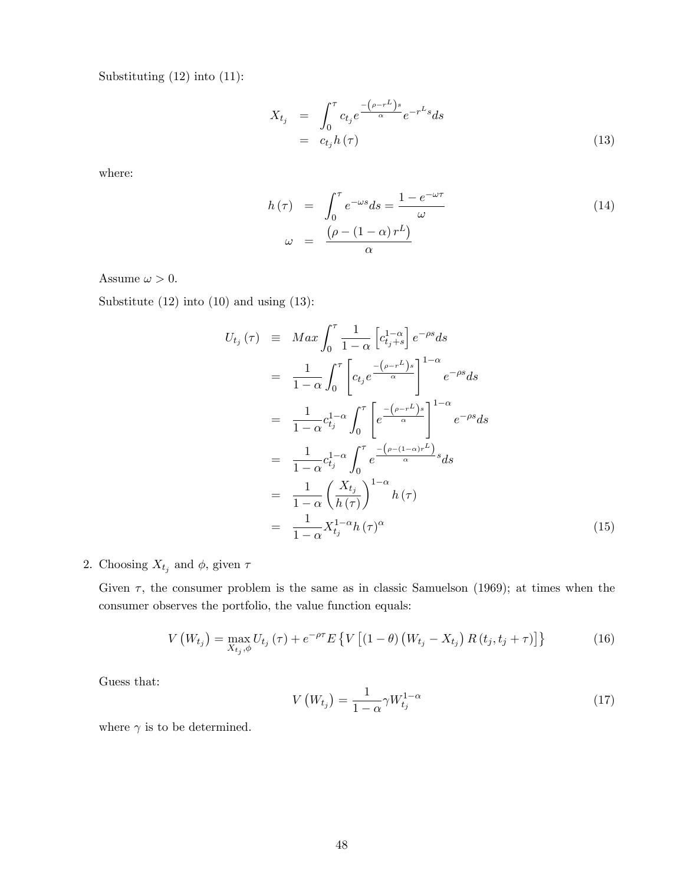Substituting (12) into (11):

$$
X_{t_j} = \int_0^{\tau} c_{t_j} e^{\frac{-(\rho - r^L)s}{\alpha}} e^{-r^L s} ds
$$
  
=  $c_{t_j} h(\tau)$  (13)

where:

$$
h(\tau) = \int_0^{\tau} e^{-\omega s} ds = \frac{1 - e^{-\omega \tau}}{\omega}
$$
  

$$
\omega = \frac{(\rho - (1 - \alpha) r^L)}{\alpha}
$$
 (14)

Assume  $\omega > 0$ .

Substitute (12) into (10) and using (13):

$$
U_{t_j}(\tau) \equiv Max \int_0^{\tau} \frac{1}{1-\alpha} \left[ c_{t_j+s}^{1-\alpha} \right] e^{-\rho s} ds
$$
  
\n
$$
= \frac{1}{1-\alpha} \int_0^{\tau} \left[ c_{t_j} e^{-\frac{(\rho - r^L)s}{\alpha}} \right]_0^{1-\alpha} e^{-\rho s} ds
$$
  
\n
$$
= \frac{1}{1-\alpha} c_{t_j}^{1-\alpha} \int_0^{\tau} \left[ e^{-\frac{(\rho - r^L)s}{\alpha}} \right]_0^{1-\alpha} e^{-\rho s} ds
$$
  
\n
$$
= \frac{1}{1-\alpha} c_{t_j}^{1-\alpha} \int_0^{\tau} e^{-\frac{(\rho - (1-\alpha)r^L)}{\alpha} s} ds
$$
  
\n
$$
= \frac{1}{1-\alpha} \left( \frac{X_{t_j}}{h(\tau)} \right)^{1-\alpha} h(\tau)
$$
  
\n
$$
= \frac{1}{1-\alpha} X_{t_j}^{1-\alpha} h(\tau)^{\alpha}
$$
 (15)

## 2. Choosing  $X_{t_j}$  and  $\phi$ , given  $\tau$

Given  $\tau$ , the consumer problem is the same as in classic Samuelson (1969); at times when the consumer observes the portfolio, the value function equals:

$$
V\left(W_{t_{j}}\right) = \max_{X_{t_{j}}, \phi} U_{t_{j}}\left(\tau\right) + e^{-\rho\tau} E\left\{V\left[\left(1-\theta\right)\left(W_{t_{j}} - X_{t_{j}}\right)R\left(t_{j}, t_{j} + \tau\right)\right]\right\}
$$
(16)

Guess that:

$$
V\left(W_{t_j}\right) = \frac{1}{1-\alpha} \gamma W_{t_j}^{1-\alpha} \tag{17}
$$

where  $\gamma$  is to be determined.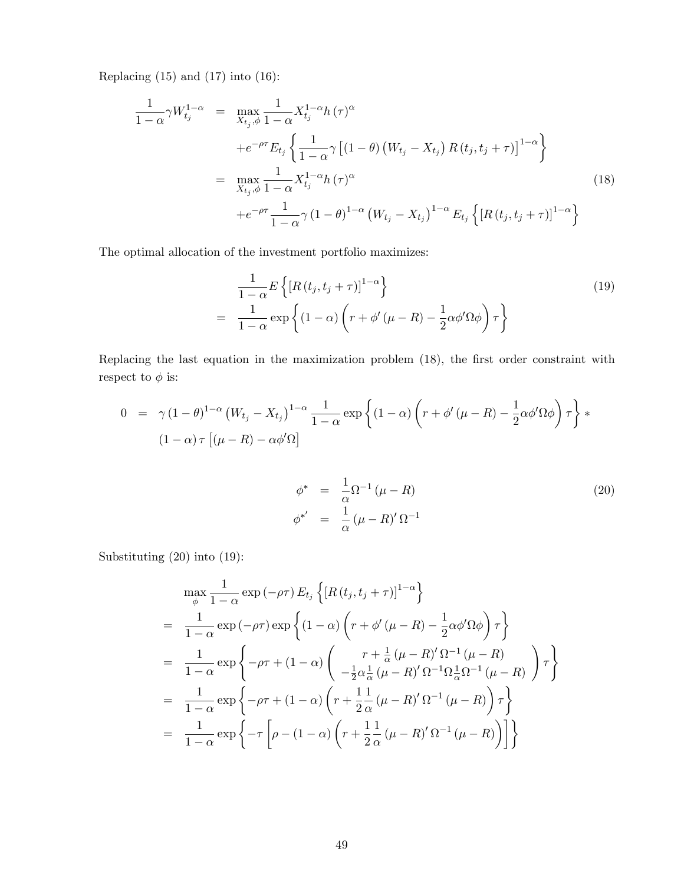Replacing  $(15)$  and  $(17)$  into  $(16)$ :

$$
\frac{1}{1-\alpha} \gamma W_{t_j}^{1-\alpha} = \max_{X_{t_j}, \phi} \frac{1}{1-\alpha} X_{t_j}^{1-\alpha} h(\tau)^{\alpha} \n+ e^{-\rho \tau} E_{t_j} \left\{ \frac{1}{1-\alpha} \gamma \left[ (1-\theta) \left( W_{t_j} - X_{t_j} \right) R(t_j, t_j + \tau) \right]^{1-\alpha} \right\} \n= \max_{X_{t_j}, \phi} \frac{1}{1-\alpha} X_{t_j}^{1-\alpha} h(\tau)^{\alpha} \n+ e^{-\rho \tau} \frac{1}{1-\alpha} \gamma (1-\theta)^{1-\alpha} \left( W_{t_j} - X_{t_j} \right)^{1-\alpha} E_{t_j} \left\{ \left[ R(t_j, t_j + \tau) \right]^{1-\alpha} \right\}
$$
\n(18)

The optimal allocation of the investment portfolio maximizes:

$$
\frac{1}{1-\alpha}E\left\{[R(t_j, t_j + \tau)]^{1-\alpha}\right\}
$$
\n
$$
= \frac{1}{1-\alpha}\exp\left\{(1-\alpha)\left(r+\phi'(\mu - R) - \frac{1}{2}\alpha\phi'\Omega\phi\right)\tau\right\}
$$
\n(19)

Replacing the last equation in the maximization problem (18), the first order constraint with respect to  $\phi$  is:

$$
0 = \gamma (1 - \theta)^{1 - \alpha} (W_{t_j} - X_{t_j})^{1 - \alpha} \frac{1}{1 - \alpha} \exp \left\{ (1 - \alpha) \left( r + \phi' (\mu - R) - \frac{1}{2} \alpha \phi' \Omega \phi \right) \tau \right\} * \left[ (1 - \alpha) \tau \left[ (\mu - R) - \alpha \phi' \Omega \right] \right]
$$

$$
\begin{array}{rcl}\n\phi^* & = & \frac{1}{\alpha} \Omega^{-1} \left( \mu - R \right) \\
\phi^{*'} & = & \frac{1}{\alpha} \left( \mu - R \right)' \Omega^{-1}\n\end{array} \tag{20}
$$

Substituting (20) into (19):

$$
\begin{split}\n&= \max_{\phi} \frac{1}{1-\alpha} \exp\left(-\rho\tau\right) E_{t_{j}} \left\{ \left[ R\left(t_{j}, t_{j} + \tau \right) \right]^{1-\alpha} \right\} \\
&= \frac{1}{1-\alpha} \exp\left(-\rho\tau\right) \exp\left\{ \left( 1-\alpha \right) \left( r + \phi'\left(\mu - R\right) - \frac{1}{2}\alpha\phi'\Omega\phi \right) \tau \right\} \\
&= \frac{1}{1-\alpha} \exp\left\{ -\rho\tau + \left( 1-\alpha \right) \left( \begin{array}{c} r + \frac{1}{\alpha}\left(\mu - R\right)'\Omega^{-1}\left(\mu - R\right) \\ -\frac{1}{2}\alpha\frac{1}{\alpha}\left(\mu - R\right)'\Omega^{-1}\Omega\frac{1}{\alpha}\Omega^{-1}\left(\mu - R\right) \end{array} \right) \tau \right\} \\
&= \frac{1}{1-\alpha} \exp\left\{ -\rho\tau + \left( 1-\alpha \right) \left( r + \frac{1}{2}\frac{1}{\alpha}\left(\mu - R\right)'\Omega^{-1}\left(\mu - R\right) \right) \tau \right\} \\
&= \frac{1}{1-\alpha} \exp\left\{ -\tau \left[ \rho - \left( 1-\alpha \right) \left( r + \frac{1}{2}\frac{1}{\alpha}\left(\mu - R\right)'\Omega^{-1}\left(\mu - R\right) \right) \right] \right\}\n\end{split}
$$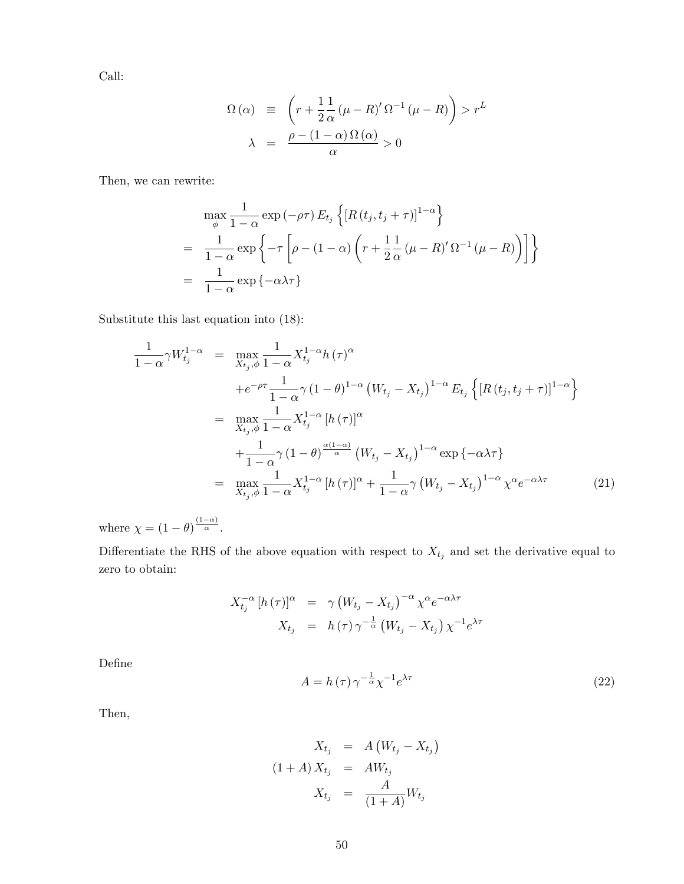Call:

$$
\Omega(\alpha) \equiv \left(r + \frac{1}{2} \frac{1}{\alpha} (\mu - R)' \Omega^{-1} (\mu - R)\right) > r^L
$$

$$
\lambda = \frac{\rho - (1 - \alpha) \Omega(\alpha)}{\alpha} > 0
$$

Then, we can rewrite:

$$
\max_{\phi} \frac{1}{1-\alpha} \exp(-\rho \tau) E_{t_j} \left\{ \left[ R(t_j, t_j + \tau) \right]^{1-\alpha} \right\}
$$
  
= 
$$
\frac{1}{1-\alpha} \exp \left\{ -\tau \left[ \rho - (1-\alpha) \left( r + \frac{1}{2} \frac{1}{\alpha} (\mu - R)' \Omega^{-1} (\mu - R) \right) \right] \right\}
$$
  
= 
$$
\frac{1}{1-\alpha} \exp \left\{ -\alpha \lambda \tau \right\}
$$

Substitute this last equation into (18):

$$
\frac{1}{1-\alpha}\gamma W_{t_j}^{1-\alpha} = \max_{X_{t_j},\phi} \frac{1}{1-\alpha} X_{t_j}^{1-\alpha} h(\tau)^{\alpha}
$$
\n
$$
+e^{-\rho\tau} \frac{1}{1-\alpha} \gamma (1-\theta)^{1-\alpha} (W_{t_j} - X_{t_j})^{1-\alpha} E_{t_j} \left\{ [R(t_j,t_j+\tau)]^{1-\alpha} \right\}
$$
\n
$$
= \max_{X_{t_j},\phi} \frac{1}{1-\alpha} X_{t_j}^{1-\alpha} [h(\tau)]^{\alpha}
$$
\n
$$
+ \frac{1}{1-\alpha} \gamma (1-\theta)^{\frac{\alpha(1-\alpha)}{\alpha}} (W_{t_j} - X_{t_j})^{1-\alpha} \exp\{-\alpha\lambda\tau\}
$$
\n
$$
= \max_{X_{t_j},\phi} \frac{1}{1-\alpha} X_{t_j}^{1-\alpha} [h(\tau)]^{\alpha} + \frac{1}{1-\alpha} \gamma (W_{t_j} - X_{t_j})^{1-\alpha} \chi^{\alpha} e^{-\alpha\lambda\tau}
$$
\n(21)

where  $\chi = (1 - \theta)^{\frac{(1 - \alpha)}{\alpha}}$ .

Differentiate the RHS of the above equation with respect to  $X_{t_j}$  and set the derivative equal to zero to obtain:

$$
X_{t_j}^{-\alpha} [h(\tau)]^{\alpha} = \gamma (W_{t_j} - X_{t_j})^{-\alpha} \chi^{\alpha} e^{-\alpha \lambda \tau}
$$
  

$$
X_{t_j} = h(\tau) \gamma^{-\frac{1}{\alpha}} (W_{t_j} - X_{t_j}) \chi^{-1} e^{\lambda \tau}
$$

DeÖne

$$
A = h(\tau) \gamma^{-\frac{1}{\alpha}} \chi^{-1} e^{\lambda \tau}
$$
\n(22)

Then,

$$
X_{t_j} = A (W_{t_j} - X_{t_j})
$$

$$
(1 + A) X_{t_j} = AW_{t_j}
$$

$$
X_{t_j} = \frac{A}{(1 + A)} W_{t_j}
$$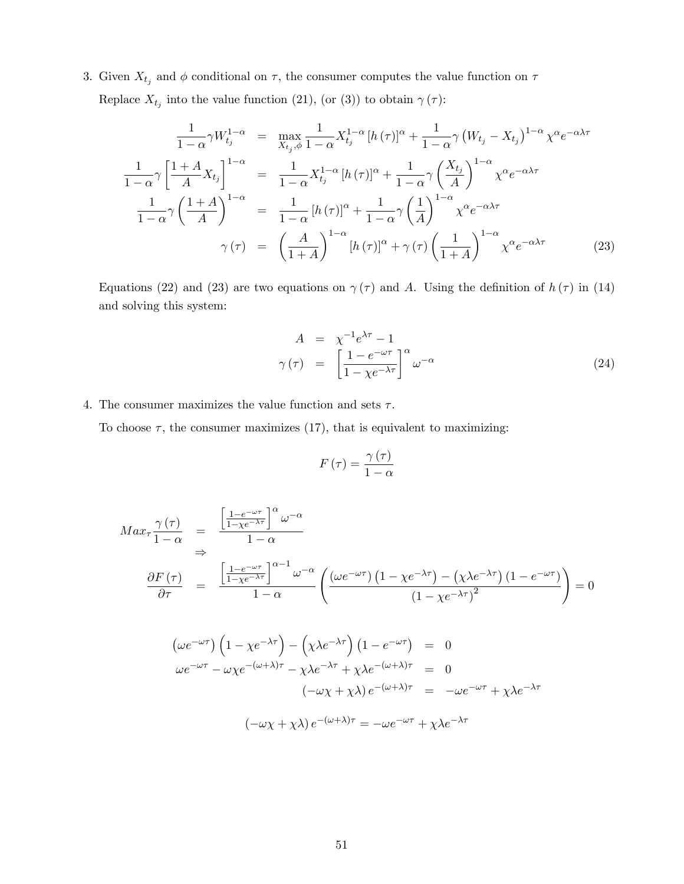3. Given  $X_{t_j}$  and  $\phi$  conditional on  $\tau$ , the consumer computes the value function on  $\tau$ Replace  $X_{t_j}$  into the value function (21), (or (3)) to obtain  $\gamma(\tau)$ :

$$
\frac{1}{1-\alpha}\gamma W_{t_j}^{1-\alpha} = \max_{X_{t_j},\phi} \frac{1}{1-\alpha} X_{t_j}^{1-\alpha} [h(\tau)]^{\alpha} + \frac{1}{1-\alpha}\gamma (W_{t_j} - X_{t_j})^{1-\alpha} \chi^{\alpha} e^{-\alpha\lambda\tau}
$$

$$
\frac{1}{1-\alpha}\gamma \left[ \frac{1+A}{A} X_{t_j} \right]^{1-\alpha} = \frac{1}{1-\alpha} X_{t_j}^{1-\alpha} [h(\tau)]^{\alpha} + \frac{1}{1-\alpha}\gamma \left( \frac{X_{t_j}}{A} \right)^{1-\alpha} \chi^{\alpha} e^{-\alpha\lambda\tau}
$$

$$
\frac{1}{1-\alpha}\gamma \left( \frac{1+A}{A} \right)^{1-\alpha} = \frac{1}{1-\alpha} [h(\tau)]^{\alpha} + \frac{1}{1-\alpha}\gamma \left( \frac{1}{A} \right)^{1-\alpha} \chi^{\alpha} e^{-\alpha\lambda\tau}
$$

$$
\gamma(\tau) = \left( \frac{A}{1+A} \right)^{1-\alpha} [h(\tau)]^{\alpha} + \gamma(\tau) \left( \frac{1}{1+A} \right)^{1-\alpha} \chi^{\alpha} e^{-\alpha\lambda\tau}
$$
(23)

Equations (22) and (23) are two equations on  $\gamma(\tau)$  and A. Using the definition of  $h(\tau)$  in (14) and solving this system:

$$
A = \chi^{-1} e^{\lambda \tau} - 1
$$
  

$$
\gamma(\tau) = \left[ \frac{1 - e^{-\omega \tau}}{1 - \chi e^{-\lambda \tau}} \right]^{\alpha} \omega^{-\alpha}
$$
 (24)

## 4. The consumer maximizes the value function and sets  $\tau$ .

To choose  $\tau$ , the consumer maximizes (17), that is equivalent to maximizing:

$$
F\left(\tau\right) = \frac{\gamma\left(\tau\right)}{1-\alpha}
$$

$$
Max_{\tau} \frac{\gamma(\tau)}{1-\alpha} = \frac{\left[\frac{1-e^{-\omega\tau}}{1-\chi e^{-\lambda\tau}}\right]^{\alpha} \omega^{-\alpha}}{1-\alpha}
$$
  
\n
$$
\frac{\partial F(\tau)}{\partial \tau} = \frac{\left[\frac{1-e^{-\omega\tau}}{1-\chi e^{-\lambda\tau}}\right]^{\alpha-1} \omega^{-\alpha}}{1-\alpha} \left(\frac{(\omega e^{-\omega\tau}) \left(1-\chi e^{-\lambda\tau}\right) - (\chi \lambda e^{-\lambda\tau}) \left(1-e^{-\omega\tau}\right)}{(1-\chi e^{-\lambda\tau})^2}\right) = 0
$$

$$
\left(\omega e^{-\omega\tau}\right)\left(1-\chi e^{-\lambda\tau}\right) - \left(\chi\lambda e^{-\lambda\tau}\right)\left(1-e^{-\omega\tau}\right) = 0
$$
  

$$
\omega e^{-\omega\tau} - \omega\chi e^{-(\omega+\lambda)\tau} - \chi\lambda e^{-\lambda\tau} + \chi\lambda e^{-(\omega+\lambda)\tau} = 0
$$
  

$$
(-\omega\chi + \chi\lambda) e^{-(\omega+\lambda)\tau} = -\omega e^{-\omega\tau} + \chi\lambda e^{-\lambda\tau}
$$
  

$$
(-\omega\chi + \chi\lambda) e^{-(\omega+\lambda)\tau} = -\omega e^{-\omega\tau} + \chi\lambda e^{-\lambda\tau}
$$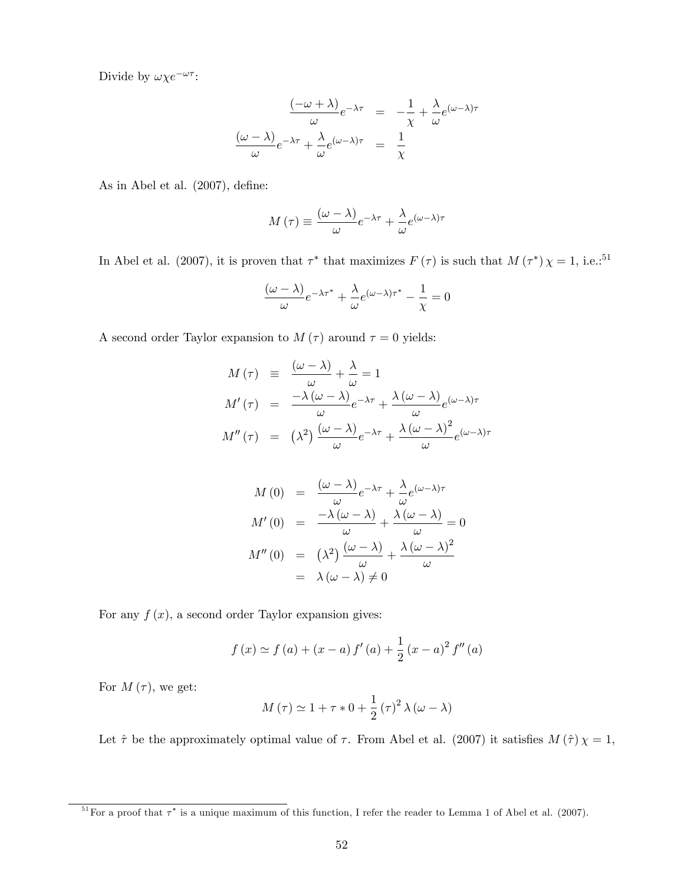Divide by  $\omega \chi e^{-\omega \tau}$ :

$$
\frac{(-\omega + \lambda)}{\omega} e^{-\lambda \tau} = -\frac{1}{\chi} + \frac{\lambda}{\omega} e^{(\omega - \lambda)\tau}
$$

$$
\frac{(\omega - \lambda)}{\omega} e^{-\lambda \tau} + \frac{\lambda}{\omega} e^{(\omega - \lambda)\tau} = \frac{1}{\chi}
$$

As in Abel et al.  $(2007)$ , define:

$$
M(\tau) \equiv \frac{(\omega - \lambda)}{\omega} e^{-\lambda \tau} + \frac{\lambda}{\omega} e^{(\omega - \lambda)\tau}
$$

In Abel et al. (2007), it is proven that  $\tau^*$  that maximizes  $F(\tau)$  is such that  $M(\tau^*)\chi = 1$ , i.e.:<sup>51</sup>

$$
\frac{(\omega - \lambda)}{\omega}e^{-\lambda \tau^*} + \frac{\lambda}{\omega}e^{(\omega - \lambda)\tau^*} - \frac{1}{\chi} = 0
$$

A second order Taylor expansion to  $M(\tau)$  around  $\tau = 0$  yields:

$$
M(\tau) \equiv \frac{(\omega - \lambda)}{\omega} + \frac{\lambda}{\omega} = 1
$$
  

$$
M'(\tau) = \frac{-\lambda(\omega - \lambda)}{\omega}e^{-\lambda\tau} + \frac{\lambda(\omega - \lambda)}{\omega}e^{(\omega - \lambda)\tau}
$$
  

$$
M''(\tau) = (\lambda^2)\frac{(\omega - \lambda)}{\omega}e^{-\lambda\tau} + \frac{\lambda(\omega - \lambda)^2}{\omega}e^{(\omega - \lambda)\tau}
$$

$$
M(0) = \frac{(\omega - \lambda)}{\omega} e^{-\lambda \tau} + \frac{\lambda}{\omega} e^{(\omega - \lambda)\tau}
$$

$$
M'(0) = \frac{-\lambda(\omega - \lambda)}{\omega} + \frac{\lambda(\omega - \lambda)}{\omega} = 0
$$

$$
M''(0) = (\lambda^2) \frac{(\omega - \lambda)}{\omega} + \frac{\lambda(\omega - \lambda)^2}{\omega}
$$

$$
= \lambda(\omega - \lambda) \neq 0
$$

For any  $f(x)$ , a second order Taylor expansion gives:

$$
f(x) \simeq f(a) + (x - a) f'(a) + \frac{1}{2} (x - a)^2 f''(a)
$$

For  $M(\tau)$ , we get:

$$
M(\tau) \simeq 1 + \tau * 0 + \frac{1}{2} (\tau)^2 \lambda (\omega - \lambda)
$$

Let  $\hat{\tau}$  be the approximately optimal value of  $\tau$ . From Abel et al. (2007) it satisfies  $M(\hat{\tau}) \chi = 1$ ,

<sup>&</sup>lt;sup>51</sup> For a proof that  $\tau^*$  is a unique maximum of this function, I refer the reader to Lemma 1 of Abel et al. (2007).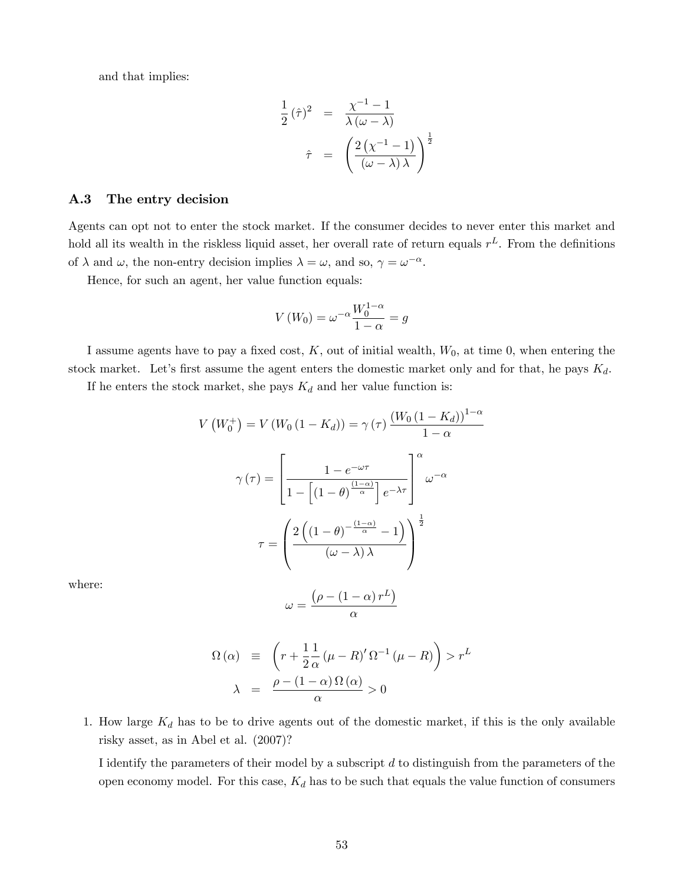and that implies:

$$
\frac{1}{2}(\hat{\tau})^2 = \frac{\chi^{-1} - 1}{\lambda(\omega - \lambda)}
$$

$$
\hat{\tau} = \left(\frac{2(\chi^{-1} - 1)}{(\omega - \lambda)\lambda}\right)^{\frac{1}{2}}
$$

#### A.3 The entry decision

Agents can opt not to enter the stock market. If the consumer decides to never enter this market and hold all its wealth in the riskless liquid asset, her overall rate of return equals  $r^L$ . From the definitions of  $\lambda$  and  $\omega$ , the non-entry decision implies  $\lambda = \omega$ , and so,  $\gamma = \omega^{-\alpha}$ .

Hence, for such an agent, her value function equals:

$$
V(W_0) = \omega^{-\alpha} \frac{W_0^{1-\alpha}}{1-\alpha} = g
$$

I assume agents have to pay a fixed cost,  $K$ , out of initial wealth,  $W_0$ , at time 0, when entering the stock market. Let's first assume the agent enters the domestic market only and for that, he pays  $K_d$ .

If he enters the stock market, she pays  $K_d$  and her value function is:

$$
V(W_0^+) = V(W_0(1 - K_d)) = \gamma(\tau) \frac{(W_0(1 - K_d))^{1-\alpha}}{1 - \alpha}
$$

$$
\gamma(\tau) = \left[ \frac{1 - e^{-\omega\tau}}{1 - \left[ (1 - \theta)^{\frac{(1-\alpha)}{\alpha}} \right] e^{-\lambda\tau}} \right]^{\alpha} \omega^{-\alpha}
$$

$$
\tau = \left( \frac{2\left( (1 - \theta)^{-\frac{(1-\alpha)}{\alpha}} - 1 \right)}{(\omega - \lambda)\lambda} \right)^{\frac{1}{2}}
$$

where:

$$
\omega = \frac{\left(\rho - \left(1 - \alpha\right)r^L\right)}{\alpha}
$$

$$
\Omega(\alpha) \equiv \left( r + \frac{1}{2} \frac{1}{\alpha} (\mu - R)' \Omega^{-1} (\mu - R) \right) > r^L
$$

$$
\lambda = \frac{\rho - (1 - \alpha) \Omega(\alpha)}{\alpha} > 0
$$

1. How large  $K_d$  has to be to drive agents out of the domestic market, if this is the only available risky asset, as in Abel et al. (2007)?

I identify the parameters of their model by a subscript  $d$  to distinguish from the parameters of the open economy model. For this case,  $K_d$  has to be such that equals the value function of consumers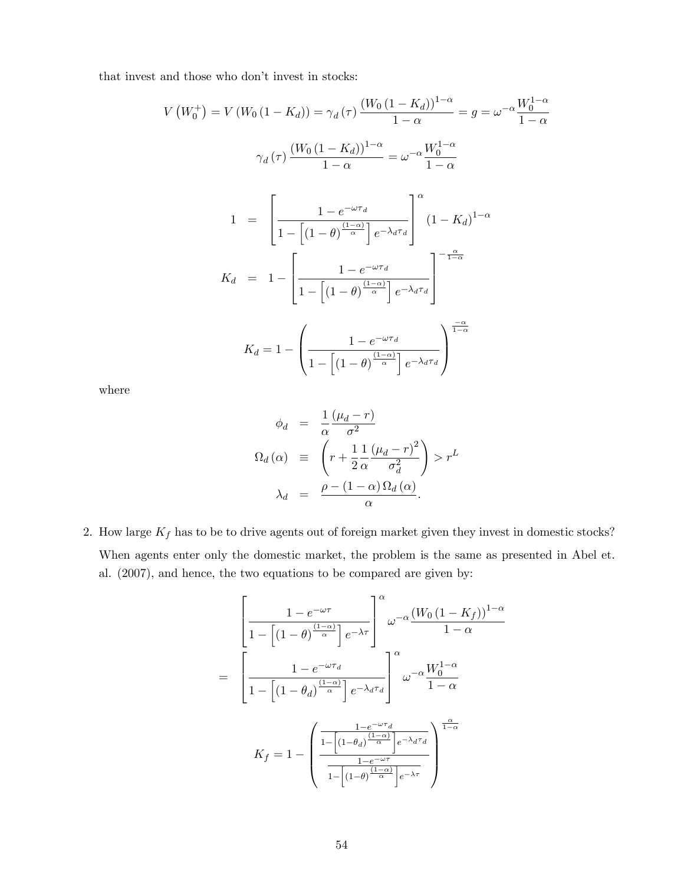that invest and those who don't invest in stocks:

$$
V(W_0^+) = V(W_0(1 - K_d)) = \gamma_d(\tau) \frac{(W_0(1 - K_d))^{1-\alpha}}{1-\alpha} = g = \omega^{-\alpha} \frac{W_0^{1-\alpha}}{1-\alpha}
$$

$$
\gamma_d(\tau) \frac{(W_0(1 - K_d))^{1-\alpha}}{1-\alpha} = \omega^{-\alpha} \frac{W_0^{1-\alpha}}{1-\alpha}
$$

$$
1 = \left[\frac{1 - e^{-\omega\tau_d}}{1 - \left[(1 - \theta)^{\frac{(1-\alpha)}{\alpha}}\right]e^{-\lambda_d\tau_d}}\right]^{\alpha} (1 - K_d)^{1-\alpha}
$$

$$
K_d = 1 - \left[\frac{1 - e^{-\omega\tau_d}}{1 - \left[(1 - \theta)^{\frac{(1-\alpha)}{\alpha}}\right]e^{-\lambda_d\tau_d}}\right]^{-\frac{\alpha}{1-\alpha}}
$$

$$
K_d = 1 - \left(\frac{1 - e^{-\omega\tau_d}}{1 - \left[(1 - \theta)^{\frac{(1-\alpha)}{\alpha}}\right]e^{-\lambda_d\tau_d}}\right)^{\frac{-\alpha}{1-\alpha}}
$$

where

$$
\phi_d = \frac{1}{\alpha} \frac{(\mu_d - r)}{\sigma^2}
$$
\n
$$
\Omega_d(\alpha) \equiv \left( r + \frac{1}{2} \frac{1}{\alpha} \frac{(\mu_d - r)^2}{\sigma_d^2} \right) > r^L
$$
\n
$$
\lambda_d = \frac{\rho - (1 - \alpha) \Omega_d(\alpha)}{\alpha}.
$$

2. How large  $K_f$  has to be to drive agents out of foreign market given they invest in domestic stocks? When agents enter only the domestic market, the problem is the same as presented in Abel et. al. (2007), and hence, the two equations to be compared are given by:

$$
\left[\frac{1 - e^{-\omega\tau}}{1 - \left[(1 - \theta)^{\frac{(1 - \alpha)}{\alpha}}\right]e^{-\lambda\tau}}\right]^{\alpha} \omega^{-\alpha} \frac{(W_0(1 - K_f))^{1 - \alpha}}{1 - \alpha}
$$
\n
$$
= \left[\frac{1 - e^{-\omega\tau_d}}{1 - \left[(1 - \theta_d)^{\frac{(1 - \alpha)}{\alpha}}\right]e^{-\lambda_d\tau_d}}\right]^{\alpha} \omega^{-\alpha} \frac{W_0^{1 - \alpha}}{1 - \alpha}
$$
\n
$$
K_f = 1 - \left(\frac{\frac{1 - e^{-\omega\tau_d}}{1 - \left[(1 - \theta_d)^{\frac{(1 - \alpha)}{\alpha}}\right]e^{-\lambda_d\tau_d}}}{\frac{1 - e^{-\omega\tau}}{1 - \left[(1 - \theta)^{\frac{(1 - \alpha)}{\alpha}}\right]e^{-\lambda\tau}}}\right)^{\frac{\alpha}{1 - \alpha}}
$$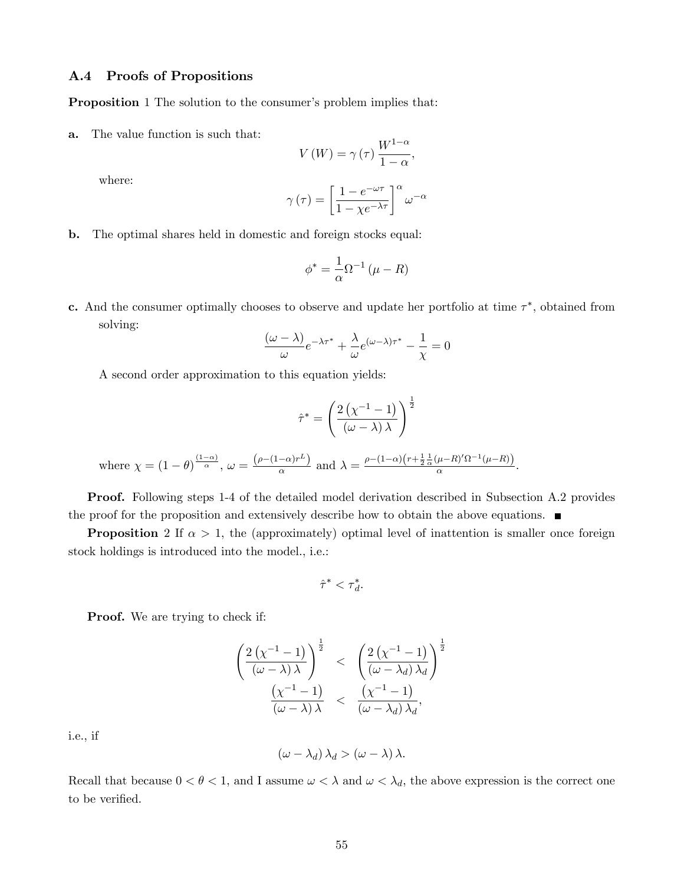#### A.4 Proofs of Propositions

**Proposition** 1 The solution to the consumer's problem implies that:

a. The value function is such that:

$$
V(W) = \gamma(\tau) \frac{W^{1-\alpha}}{1-\alpha},
$$

where:

$$
\gamma(\tau) = \left[\frac{1 - e^{-\omega\tau}}{1 - \chi e^{-\lambda\tau}}\right]^{\alpha} \omega^{-\alpha}
$$

b. The optimal shares held in domestic and foreign stocks equal:

$$
\phi^* = \frac{1}{\alpha} \Omega^{-1} (\mu - R)
$$

c. And the consumer optimally chooses to observe and update her portfolio at time  $\tau^*$ , obtained from solving:

$$
\frac{(\omega - \lambda)}{\omega}e^{-\lambda \tau^*} + \frac{\lambda}{\omega}e^{(\omega - \lambda)\tau^*} - \frac{1}{\chi} = 0
$$

A second order approximation to this equation yields:

$$
\hat{\tau}^* = \left(\frac{2\left(\chi^{-1} - 1\right)}{\left(\omega - \lambda\right)\lambda}\right)^{\frac{1}{2}}
$$
\nwhere  $\chi = (1 - \theta)^{\frac{(1 - \alpha)}{\alpha}}$ ,  $\omega = \frac{\left(\rho - (1 - \alpha)r^L\right)}{\alpha}$  and  $\lambda = \frac{\rho - (1 - \alpha)\left(r + \frac{1}{2}\frac{1}{\alpha}\left(\mu - R\right)'\Omega^{-1}\left(\mu - R\right)\right)}{\alpha}$ .

Proof. Following steps 1-4 of the detailed model derivation described in Subsection A.2 provides the proof for the proposition and extensively describe how to obtain the above equations.

**Proposition** 2 If  $\alpha > 1$ , the (approximately) optimal level of inattention is smaller once foreign stock holdings is introduced into the model., i.e.:

$$
\hat{\tau}^* < \tau_d^*.
$$

**Proof.** We are trying to check if:

$$
\frac{\left(2\left(\chi^{-1}-1\right)}{\left(\omega-\lambda\right)\lambda}\right)^{\frac{1}{2}} < \left(\frac{2\left(\chi^{-1}-1\right)}{\left(\omega-\lambda_d\right)\lambda_d}\right)^{\frac{1}{2}} \\
\frac{\left(\chi^{-1}-1\right)}{\left(\omega-\lambda\right)\lambda} < \frac{\left(\chi^{-1}-1\right)}{\left(\omega-\lambda_d\right)\lambda_d},
$$

i.e., if

$$
(\omega - \lambda_d) \lambda_d > (\omega - \lambda) \lambda.
$$

Recall that because  $0 < \theta < 1$ , and I assume  $\omega < \lambda$  and  $\omega < \lambda_d$ , the above expression is the correct one to be verified.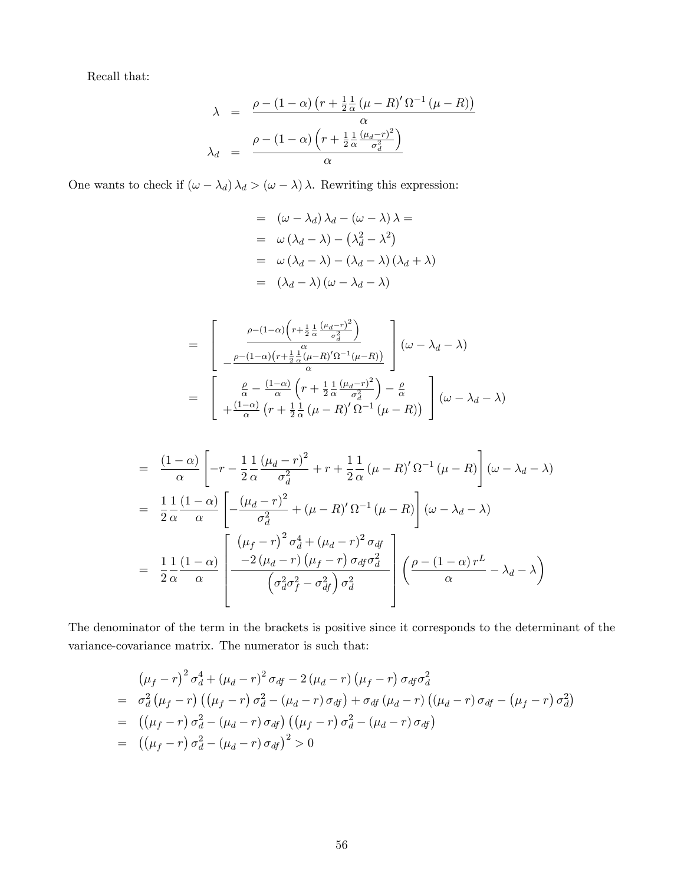Recall that:

$$
\lambda = \frac{\rho - (1 - \alpha) \left( r + \frac{1}{2} \frac{1}{\alpha} \left( \mu - R \right)' \Omega^{-1} \left( \mu - R \right) \right)}{\alpha}
$$

$$
\lambda_d = \frac{\rho - (1 - \alpha) \left( r + \frac{1}{2} \frac{1}{\alpha} \frac{\left( \mu_d - r \right)^2}{\sigma_d^2} \right)}{\alpha}
$$

One wants to check if  $(\omega - \lambda_d) \lambda_d > (\omega - \lambda) \lambda$ . Rewriting this expression:

$$
= (\omega - \lambda_d) \lambda_d - (\omega - \lambda) \lambda =
$$
  
\n
$$
= \omega (\lambda_d - \lambda) - (\lambda_d^2 - \lambda^2)
$$
  
\n
$$
= \omega (\lambda_d - \lambda) - (\lambda_d - \lambda) (\lambda_d + \lambda)
$$
  
\n
$$
= (\lambda_d - \lambda) (\omega - \lambda_d - \lambda)
$$

$$
= \left[\begin{array}{c} \frac{\rho - (1-\alpha)\left(r + \frac{1}{2}\frac{1}{\alpha}\frac{(\mu_d - r)^2}{\sigma_d^2}\right)}{\mu} \\ -\frac{\rho - (1-\alpha)\left(r + \frac{1}{2}\frac{1}{\alpha}(\mu - R)'\Omega^{-1}(\mu - R)\right)}{\alpha}\end{array}\right] (\omega - \lambda_d - \lambda)
$$

$$
= \left[\begin{array}{c} \frac{\rho}{\alpha} - \frac{(1-\alpha)}{\alpha}\left(r + \frac{1}{2}\frac{1}{\alpha}\frac{(\mu_d - r)^2}{\sigma_d^2}\right) - \frac{\rho}{\alpha} \\ + \frac{(1-\alpha)}{\alpha}\left(r + \frac{1}{2}\frac{1}{\alpha}\left(\mu - R\right)'\Omega^{-1}\left(\mu - R\right)\right) \end{array}\right] (\omega - \lambda_d - \lambda)
$$

$$
= \frac{(1-\alpha)}{\alpha} \left[ -r - \frac{1}{2} \frac{1}{\alpha} \frac{(\mu_d - r)^2}{\sigma_d^2} + r + \frac{1}{2} \frac{1}{\alpha} (\mu - R)' \Omega^{-1} (\mu - R) \right] (\omega - \lambda_d - \lambda)
$$
  

$$
= \frac{1}{2} \frac{1}{\alpha} \frac{(1-\alpha)}{\alpha} \left[ -\frac{(\mu_d - r)^2}{\sigma_d^2} + (\mu - R)' \Omega^{-1} (\mu - R) \right] (\omega - \lambda_d - \lambda)
$$
  

$$
= \frac{1}{2} \frac{1}{\alpha} \frac{(1-\alpha)}{\alpha} \left[ \frac{(\mu_f - r)^2 \sigma_d^4 + (\mu_d - r)^2 \sigma_{df}}{2(\sigma_d^2 - \sigma_d^2)} \right] \left( \frac{\rho - (1-\alpha)r^L}{\alpha} - \lambda_d - \lambda \right)
$$

The denominator of the term in the brackets is positive since it corresponds to the determinant of the variance-covariance matrix. The numerator is such that:

$$
(\mu_f - r)^2 \sigma_d^4 + (\mu_d - r)^2 \sigma_{df} - 2 (\mu_d - r) (\mu_f - r) \sigma_{df} \sigma_d^2
$$
  
=  $\sigma_d^2 (\mu_f - r) ((\mu_f - r) \sigma_d^2 - (\mu_d - r) \sigma_{df}) + \sigma_{df} (\mu_d - r) ((\mu_d - r) \sigma_{df} - (\mu_f - r) \sigma_d^2)$   
=  $((\mu_f - r) \sigma_d^2 - (\mu_d - r) \sigma_{df}) ((\mu_f - r) \sigma_d^2 - (\mu_d - r) \sigma_{df})$   
=  $((\mu_f - r) \sigma_d^2 - (\mu_d - r) \sigma_{df})^2 > 0$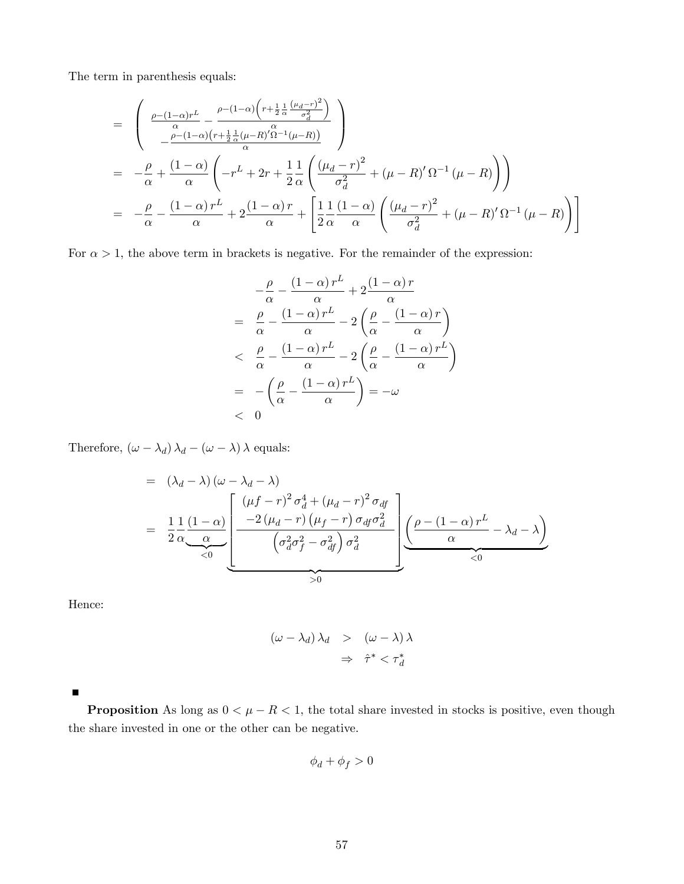The term in parenthesis equals:

$$
= \left(\begin{array}{l}\frac{\rho-(1-\alpha)r^{L}}{\alpha}-\frac{\rho-(1-\alpha)\left(r+\frac{1}{2}\frac{1}{\alpha}\frac{(\mu_{d}-r)^{2}}{\sigma_{d}^{2}}\right)}{\alpha}\right)\\-\frac{\rho-(1-\alpha)\left(r+\frac{1}{2}\frac{1}{\alpha}(\mu-R)^{'}\Omega^{-1}(\mu-R)\right)}{\alpha}\end{array}\right)
$$
\n
$$
= -\frac{\rho}{\alpha}+\frac{(1-\alpha)}{\alpha}\left(-r^{L}+2r+\frac{1}{2}\frac{1}{\alpha}\left(\frac{(\mu_{d}-r)^{2}}{\sigma_{d}^{2}}+(\mu-R)^{'}\Omega^{-1}(\mu-R)\right)\right)
$$
\n
$$
= -\frac{\rho}{\alpha}-\frac{(1-\alpha)r^{L}}{\alpha}+2\frac{(1-\alpha)r}{\alpha}+\left[\frac{1}{2}\frac{1}{\alpha}\frac{(1-\alpha)}{\alpha}\left(\frac{(\mu_{d}-r)^{2}}{\sigma_{d}^{2}}+(\mu-R)^{'}\Omega^{-1}(\mu-R)\right)\right]
$$

For  $\alpha > 1$ , the above term in brackets is negative. For the remainder of the expression:

$$
-\frac{\rho}{\alpha} - \frac{(1-\alpha)r^L}{\alpha} + 2\frac{(1-\alpha)r}{\alpha}
$$
  
=  $\frac{\rho}{\alpha} - \frac{(1-\alpha)r^L}{\alpha} - 2\left(\frac{\rho}{\alpha} - \frac{(1-\alpha)r}{\alpha}\right)$   
<  $\frac{\rho}{\alpha} - \frac{(1-\alpha)r^L}{\alpha} - 2\left(\frac{\rho}{\alpha} - \frac{(1-\alpha)r^L}{\alpha}\right)$   
=  $-\left(\frac{\rho}{\alpha} - \frac{(1-\alpha)r^L}{\alpha}\right) = -\omega$   
< 0

Therefore,  $\left(\omega-\lambda_d\right)\lambda_d-\left(\omega-\lambda\right)\lambda$  equals:

$$
= (\lambda_d - \lambda) (\omega - \lambda_d - \lambda)
$$
  
=  $\frac{1}{2} \frac{1}{\alpha} \frac{(1 - \alpha)}{\alpha}$  
$$
\frac{(\mu f - r)^2 \sigma_d^4 + (\mu_d - r)^2 \sigma_{df}}{(\sigma_d^2 \sigma_f^2 - \sigma_{df}^2) \sigma_d^2}
$$
 
$$
\frac{(\rho - (1 - \alpha)r^L - \lambda_d - \lambda)}{\alpha}
$$

Hence:

$$
(\omega - \lambda_d) \lambda_d > (\omega - \lambda) \lambda
$$
  

$$
\Rightarrow \hat{\tau}^* < \tau_d^*
$$

 $\blacksquare$ 

**Proposition** As long as  $0 < \mu - R < 1$ , the total share invested in stocks is positive, even though the share invested in one or the other can be negative.

$$
\phi_d+\phi_f>0
$$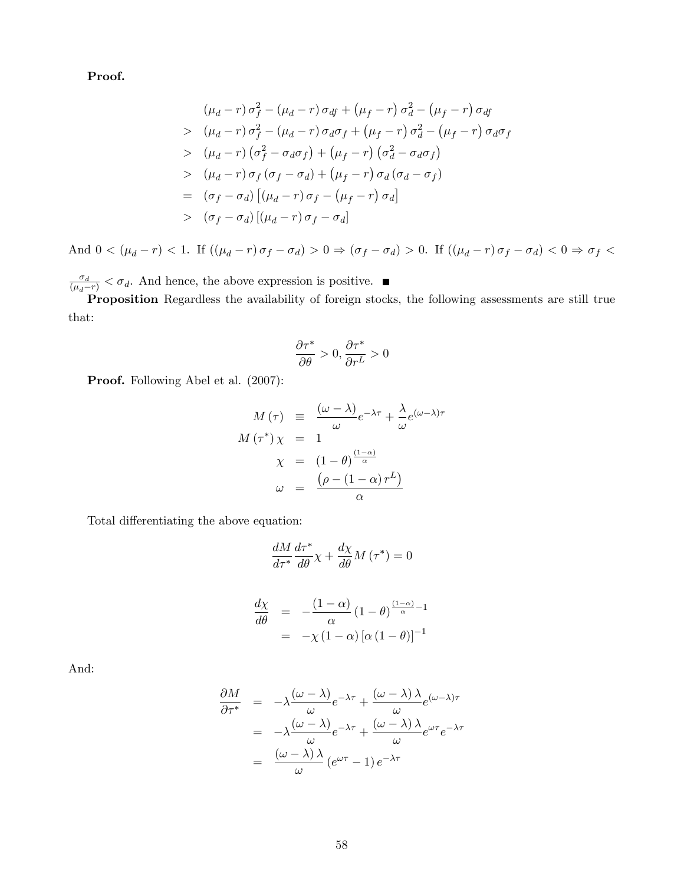Proof.

$$
(\mu_d - r) \sigma_f^2 - (\mu_d - r) \sigma_{df} + (\mu_f - r) \sigma_d^2 - (\mu_f - r) \sigma_{df}
$$
  
\n
$$
> (\mu_d - r) \sigma_f^2 - (\mu_d - r) \sigma_d \sigma_f + (\mu_f - r) \sigma_d^2 - (\mu_f - r) \sigma_d \sigma_f
$$
  
\n
$$
> (\mu_d - r) (\sigma_f^2 - \sigma_d \sigma_f) + (\mu_f - r) (\sigma_d^2 - \sigma_d \sigma_f)
$$
  
\n
$$
> (\mu_d - r) \sigma_f (\sigma_f - \sigma_d) + (\mu_f - r) \sigma_d (\sigma_d - \sigma_f)
$$
  
\n
$$
= (\sigma_f - \sigma_d) [(\mu_d - r) \sigma_f - (\mu_f - r) \sigma_d]
$$
  
\n
$$
> (\sigma_f - \sigma_d) [(\mu_d - r) \sigma_f - \sigma_d]
$$

And  $0 < (\mu_d - r) < 1$ . If  $((\mu_d - r) \sigma_f - \sigma_d) > 0 \Rightarrow (\sigma_f - \sigma_d) > 0$ . If  $((\mu_d - r) \sigma_f - \sigma_d) < 0 \Rightarrow \sigma_f <$ 

 $\frac{\sigma_d}{(\mu_d - r)} < \sigma_d$ . And hence, the above expression is positive.

Proposition Regardless the availability of foreign stocks, the following assessments are still true that:

$$
\frac{\partial \tau^*}{\partial \theta} > 0, \frac{\partial \tau^*}{\partial r^L} > 0
$$

Proof. Following Abel et al. (2007):

$$
M(\tau) \equiv \frac{(\omega - \lambda)}{\omega} e^{-\lambda \tau} + \frac{\lambda}{\omega} e^{(\omega - \lambda)\tau}
$$

$$
M(\tau^*) \chi = 1
$$

$$
\chi = (1 - \theta)^{\frac{(1 - \alpha)}{\alpha}}
$$

$$
\omega = \frac{(\rho - (1 - \alpha) r^L)}{\alpha}
$$

Total differentiating the above equation:

$$
\frac{dM}{d\tau^*} \frac{d\tau^*}{d\theta} \chi + \frac{d\chi}{d\theta} M(\tau^*) = 0
$$

$$
\frac{d\chi}{d\theta} = -\frac{(1-\alpha)}{\alpha} (1-\theta)^{\frac{(1-\alpha)}{\alpha}-1}
$$

$$
= -\chi (1-\alpha) [\alpha (1-\theta)]^{-1}
$$

And:

$$
\frac{\partial M}{\partial \tau^*} = -\lambda \frac{(\omega - \lambda)}{\omega} e^{-\lambda \tau} + \frac{(\omega - \lambda)\lambda}{\omega} e^{(\omega - \lambda)\tau}
$$

$$
= -\lambda \frac{(\omega - \lambda)}{\omega} e^{-\lambda \tau} + \frac{(\omega - \lambda)\lambda}{\omega} e^{\omega \tau} e^{-\lambda \tau}
$$

$$
= \frac{(\omega - \lambda)\lambda}{\omega} (e^{\omega \tau} - 1) e^{-\lambda \tau}
$$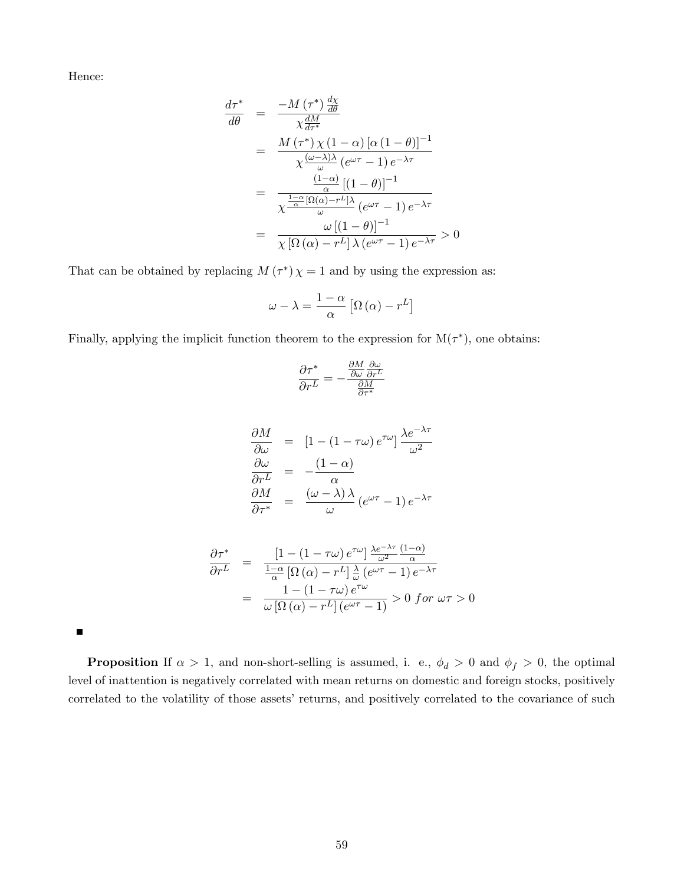Hence:

$$
\frac{d\tau^*}{d\theta} = \frac{-M(\tau^*)\frac{d\chi}{d\theta}}{\chi \frac{dM}{d\tau^*}}
$$
\n
$$
= \frac{M(\tau^*)\chi(1-\alpha)\left[\alpha(1-\theta)\right]^{-1}}{\chi\frac{(\omega-\lambda)\lambda}{\omega}(e^{\omega\tau}-1)e^{-\lambda\tau}}
$$
\n
$$
= \frac{\frac{(1-\alpha)}{\alpha}\left[(1-\theta)\right]^{-1}}{\chi\frac{1-\alpha}{\omega}[\Omega(\alpha)-r^L]\lambda}(e^{\omega\tau}-1)e^{-\lambda\tau}}
$$
\n
$$
= \frac{\omega\left[(1-\theta)\right]^{-1}}{\chi\left[\Omega(\alpha)-r^L\right]\lambda(e^{\omega\tau}-1)e^{-\lambda\tau}} > 0
$$

That can be obtained by replacing  $M(\tau^*)\chi=1$  and by using the expression as:

$$
\omega - \lambda = \frac{1 - \alpha}{\alpha} \left[ \Omega \left( \alpha \right) - r^L \right]
$$

Finally, applying the implicit function theorem to the expression for  $M(\tau^*)$ , one obtains:

$$
\frac{\partial \tau^*}{\partial r^L} = -\frac{\frac{\partial M}{\partial \omega} \frac{\partial \omega}{\partial r^L}}{\frac{\partial M}{\partial \tau^*}}
$$

$$
\frac{\partial M}{\partial \omega} = [1 - (1 - \tau \omega) e^{\tau \omega}] \frac{\lambda e^{-\lambda \tau}}{\omega^2}
$$

$$
\frac{\partial \omega}{\partial r^L} = -\frac{(1 - \alpha)}{\alpha}
$$

$$
\frac{\partial M}{\partial \tau^*} = \frac{(\omega - \lambda)\lambda}{\omega} (e^{\omega \tau} - 1) e^{-\lambda \tau}
$$

$$
\frac{\partial \tau^*}{\partial r^L} = \frac{\left[1 - (1 - \tau\omega)e^{\tau\omega}\right] \frac{\lambda e^{-\lambda\tau}}{\omega^2} \frac{(1 - \alpha)}{\alpha}}{\frac{1 - \alpha}{\omega} \left[\Omega\left(\alpha\right) - r^L\right] \frac{\lambda}{\omega} \left(e^{\omega\tau} - 1\right) e^{-\lambda\tau}}
$$
\n
$$
= \frac{1 - (1 - \tau\omega)e^{\tau\omega}}{\omega \left[\Omega\left(\alpha\right) - r^L\right] \left(e^{\omega\tau} - 1\right)} > 0 \text{ for } \omega\tau > 0
$$

**Proposition** If  $\alpha > 1$ , and non-short-selling is assumed, i. e.,  $\phi_d > 0$  and  $\phi_f > 0$ , the optimal level of inattention is negatively correlated with mean returns on domestic and foreign stocks, positively correlated to the volatility of those assets' returns, and positively correlated to the covariance of such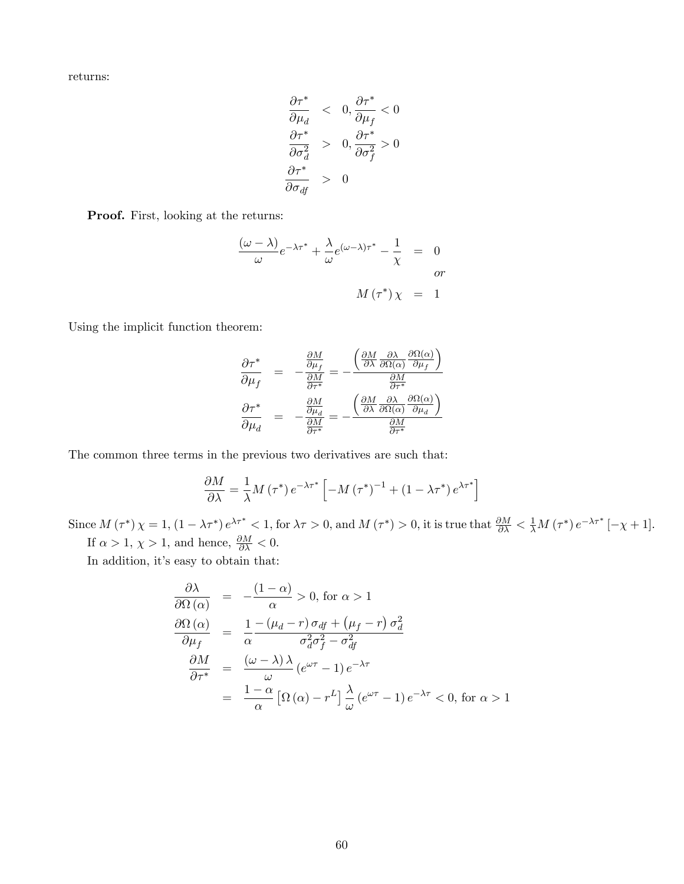returns:

$$
\begin{array}{lcl} \displaystyle \frac{\partial \tau^*}{\partial \mu_d} & < & 0, \frac{\partial \tau^*}{\partial \mu_f} < 0 \\[0.4cm] \displaystyle \frac{\partial \tau^*}{\partial \sigma_d^2} & > & 0, \frac{\partial \tau^*}{\partial \sigma_f^2} > 0 \\[0.4cm] \displaystyle \frac{\partial \tau^*}{\partial \sigma_{df}} & > & 0 \end{array}
$$

Proof. First, looking at the returns:

$$
\frac{(\omega - \lambda)}{\omega} e^{-\lambda \tau^*} + \frac{\lambda}{\omega} e^{(\omega - \lambda)\tau^*} - \frac{1}{\chi} = 0
$$
  
or  

$$
M(\tau^*) \chi = 1
$$

Using the implicit function theorem:

$$
\frac{\partial \tau^*}{\partial \mu_f} = -\frac{\frac{\partial M}{\partial \mu_f}}{\frac{\partial M}{\partial \tau^*}} = -\frac{\left(\frac{\partial M}{\partial \lambda} \frac{\partial \lambda}{\partial \Omega(\alpha)} \frac{\partial \Omega(\alpha)}{\partial \mu_f}\right)}{\frac{\partial M}{\partial \tau^*}}
$$

$$
\frac{\partial \tau^*}{\partial \mu_d} = -\frac{\frac{\partial M}{\partial \mu_d}}{\frac{\partial M}{\partial \tau^*}} = -\frac{\left(\frac{\partial M}{\partial \lambda} \frac{\partial \lambda}{\partial \Omega(\alpha)} \frac{\partial \Omega(\alpha)}{\partial \mu_d}\right)}{\frac{\partial M}{\partial \tau^*}}
$$

The common three terms in the previous two derivatives are such that:

$$
\frac{\partial M}{\partial \lambda} = \frac{1}{\lambda} M \left( \tau^* \right) e^{-\lambda \tau^*} \left[ -M \left( \tau^* \right)^{-1} + \left( 1 - \lambda \tau^* \right) e^{\lambda \tau^*} \right]
$$

Since  $M(\tau^*)\chi=1$ ,  $(1-\lambda\tau^*)e^{\lambda\tau^*}<1$ , for  $\lambda\tau>0$ , and  $M(\tau^*)>0$ , it is true that  $\frac{\partial M}{\partial\lambda}<\frac{1}{\lambda}M(\tau^*)e^{-\lambda\tau^*}[-\chi+1]$ . If  $\alpha > 1$ ,  $\chi > 1$ , and hence,  $\frac{\partial M}{\partial \lambda} < 0$ .

In addition, it's easy to obtain that:

$$
\frac{\partial \lambda}{\partial \Omega(\alpha)} = -\frac{(1-\alpha)}{\alpha} > 0, \text{ for } \alpha > 1
$$
  

$$
\frac{\partial \Omega(\alpha)}{\partial \mu_f} = \frac{1}{\alpha} \frac{-(\mu_d - r) \sigma_{df} + (\mu_f - r) \sigma_d^2}{\sigma_d^2 \sigma_f^2 - \sigma_{df}^2}
$$
  

$$
\frac{\partial M}{\partial \tau^*} = \frac{(\omega - \lambda)\lambda}{\omega} (e^{\omega \tau} - 1) e^{-\lambda \tau}
$$
  

$$
= \frac{1-\alpha}{\alpha} [\Omega(\alpha) - r^L] \frac{\lambda}{\omega} (e^{\omega \tau} - 1) e^{-\lambda \tau} < 0, \text{ for } \alpha > 1
$$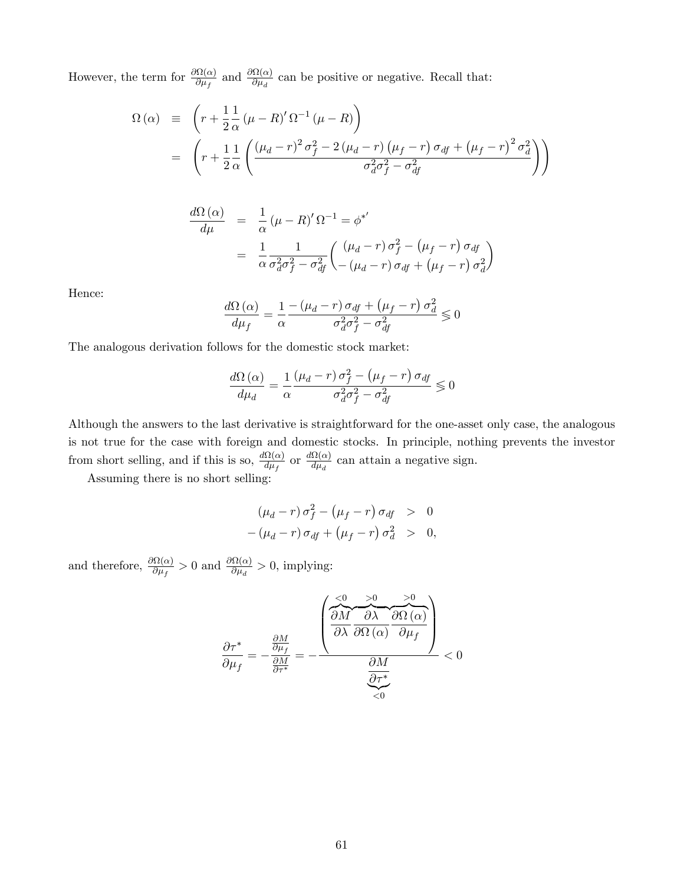However, the term for  $\frac{\partial \Omega(\alpha)}{\partial u_i}$  $\frac{\partial \Omega(\alpha)}{\partial \mu_f}$  and  $\frac{\partial \Omega(\alpha)}{\partial \mu_d}$  $\frac{\partial \Omega(\alpha)}{\partial \mu_d}$  can be positive or negative. Recall that:

$$
\Omega(\alpha) \equiv \left( r + \frac{1}{2} \frac{1}{\alpha} (\mu - R)' \Omega^{-1} (\mu - R) \right)
$$
  
= 
$$
\left( r + \frac{1}{2} \frac{1}{\alpha} \left( \frac{(\mu_d - r)^2 \sigma_f^2 - 2(\mu_d - r) (\mu_f - r) \sigma_{df} + (\mu_f - r)^2 \sigma_d^2}{\sigma_d^2 \sigma_f^2 - \sigma_{df}^2} \right) \right)
$$

$$
\frac{d\Omega(\alpha)}{d\mu} = \frac{1}{\alpha} (\mu - R)' \Omega^{-1} = \phi^{*}'
$$

$$
= \frac{1}{\alpha} \frac{1}{\sigma_d^2 \sigma_f^2 - \sigma_{df}^2} \left( \frac{(\mu_d - r) \sigma_f^2 - (\mu_f - r) \sigma_{df}}{-(\mu_d - r) \sigma_{df} + (\mu_f - r) \sigma_d^2} \right)
$$

Hence:

$$
\frac{d\Omega\left(\alpha\right)}{d\mu_{f}}=\frac{1}{\alpha}\frac{-\left(\mu_{d}-r\right)\sigma_{df}+\left(\mu_{f}-r\right)\sigma_{d}^{2}}{\sigma_{d}^{2}\sigma_{f}^{2}-\sigma_{df}^{2}}\lessgtr0
$$

The analogous derivation follows for the domestic stock market:

$$
\frac{d\Omega\left(\alpha\right)}{d\mu_{d}} = \frac{1}{\alpha} \frac{\left(\mu_{d} - r\right)\sigma_{f}^{2} - \left(\mu_{f} - r\right)\sigma_{df}}{\sigma_{d}^{2}\sigma_{f}^{2} - \sigma_{df}^{2}} \lesssim 0
$$

Although the answers to the last derivative is straightforward for the one-asset only case, the analogous is not true for the case with foreign and domestic stocks. In principle, nothing prevents the investor from short selling, and if this is so,  $\frac{d\Omega(\alpha)}{d\mu}$  $\frac{d\Omega(\alpha)}{d\mu_f}$  or  $\frac{d\Omega(\alpha)}{d\mu_d}$  $\frac{\Omega(\alpha)}{d\mu_d}$  can attain a negative sign.

Assuming there is no short selling:

$$
(\mu_d - r) \sigma_f^2 - (\mu_f - r) \sigma_{df} > 0
$$
  
- 
$$
(\mu_d - r) \sigma_{df} + (\mu_f - r) \sigma_d^2 > 0,
$$

and therefore,  $\frac{\partial \Omega(\alpha)}{\partial u}$  $\frac{\partial \Omega(\alpha)}{\partial \mu_f} > 0$  and  $\frac{\partial \Omega(\alpha)}{\partial \mu_d}$  $\frac{\partial u(a)}{\partial \mu_d} > 0$ , implying:

@ @<sup>f</sup> = @M @<sup>f</sup> @M @ = 0 BB@ <0 z}|{ @M @ >0 z }| { @ @ () >0 z }| { @ () @<sup>f</sup> 1 CCA @M @ |{z} <0 < 0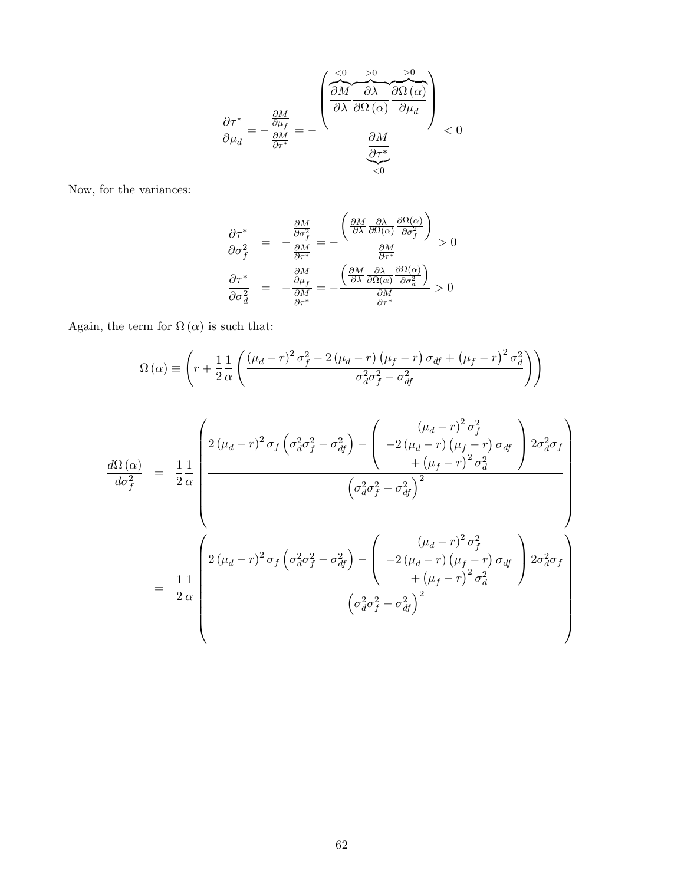$$
\frac{\partial \tau^*}{\partial \mu_d} = -\frac{\frac{\partial M}{\partial \mu_f}}{\frac{\partial M}{\partial \tau^*}} = -\frac{\left(\frac{\partial M}{\partial \lambda} \frac{\partial \theta}{\partial \Omega(\alpha)} \frac{>0}{\partial \mu_d}\right)}{\frac{\partial M}{\partial \tau^*}} < 0
$$

Now, for the variances:

$$
\frac{\partial \tau^*}{\partial \sigma_f^2} = -\frac{\frac{\partial M}{\partial \sigma_f^2}}{\frac{\partial M}{\partial \tau^*}} = -\frac{\left(\frac{\partial M}{\partial \lambda} \frac{\partial \lambda}{\partial \Omega(\alpha)} \frac{\partial \Omega(\alpha)}{\partial \sigma_f^2}\right)}{\frac{\partial M}{\partial \tau^*}} > 0
$$

$$
\frac{\partial \tau^*}{\partial \sigma_d^2} = -\frac{\frac{\partial M}{\partial \mu_f}}{\frac{\partial M}{\partial \tau^*}} = -\frac{\left(\frac{\partial M}{\partial \lambda} \frac{\partial \lambda}{\partial \Omega(\alpha)} \frac{\partial \Omega(\alpha)}{\partial \sigma_d^2}\right)}{\frac{\partial M}{\partial \tau^*}} > 0
$$

Again, the term for  $\Omega(\alpha)$  is such that:

$$
\Omega\left(\alpha\right) \equiv \left(r + \frac{1}{2} \frac{1}{\alpha} \left(\frac{\left(\mu_d - r\right)^2 \sigma_f^2 - 2\left(\mu_d - r\right) \left(\mu_f - r\right) \sigma_{df} + \left(\mu_f - r\right)^2 \sigma_d^2}{\sigma_d^2 \sigma_f^2 - \sigma_{df}^2}\right)\right)
$$

$$
\frac{d\Omega(\alpha)}{d\sigma_f^2} = \frac{1}{2} \frac{1}{\alpha} \left( \frac{2(\mu_d - r)^2 \sigma_f \left( \sigma_d^2 \sigma_f^2 - \sigma_{df}^2 \right) - \left( -2(\mu_d - r)(\mu_f - r) \sigma_{df} \right) 2\sigma_d^2 \sigma_f}{\left( \sigma_d^2 \sigma_f^2 - \sigma_{df}^2 \right)^2} \right)
$$
\n
$$
= \frac{1}{2} \frac{1}{\alpha} \left( \frac{2(\mu_d - r)^2 \sigma_f \left( \sigma_d^2 \sigma_f^2 - \sigma_{df}^2 \right) - \left( -2(\mu_d - r)(\mu_f - r) \sigma_{df} \right) 2\sigma_d^2 \sigma_f}{\left( -2(\mu_d - r)(\mu_f - r) \sigma_{df} \right) 2\sigma_d^2 \sigma_f} \right)
$$
\n
$$
= \frac{1}{2} \frac{1}{\alpha} \left( \frac{2(\mu_d - r)^2 \sigma_f \left( \sigma_d^2 \sigma_f^2 - \sigma_{df}^2 \right) - \left( -2(\mu_d - r)(\mu_f - r) \sigma_{df} \right) 2\sigma_d^2 \sigma_f}{\left( \sigma_d^2 \sigma_f^2 - \sigma_{df}^2 \right)^2} \right)
$$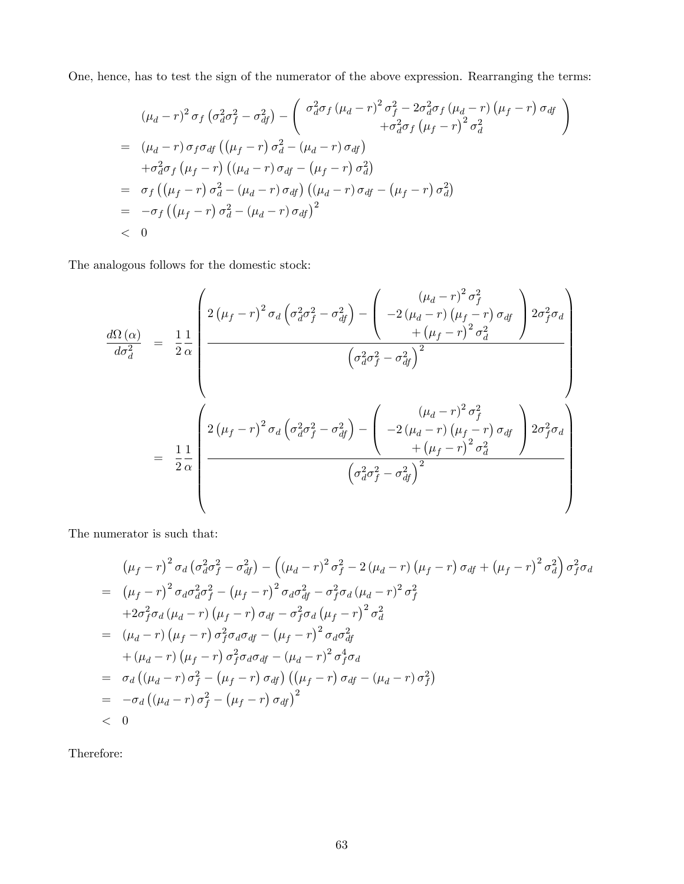One, hence, has to test the sign of the numerator of the above expression. Rearranging the terms:

$$
(\mu_d - r)^2 \sigma_f \left(\sigma_d^2 \sigma_f^2 - \sigma_{df}^2\right) - \left(\begin{array}{c} \sigma_d^2 \sigma_f \left(\mu_d - r\right)^2 \sigma_f^2 - 2\sigma_d^2 \sigma_f \left(\mu_d - r\right) \left(\mu_f - r\right) \sigma_{df} \\ + \sigma_d^2 \sigma_f \left(\mu_f - r\right)^2 \sigma_d^2 \end{array}\right)
$$
  
= 
$$
(\mu_d - r) \sigma_f \sigma_{df} \left(\left(\mu_f - r\right) \sigma_d^2 - \left(\mu_d - r\right) \sigma_{df}\right)
$$

$$
+ \sigma_d^2 \sigma_f \left(\mu_f - r\right) \left(\left(\mu_d - r\right) \sigma_{df} - \left(\mu_f - r\right) \sigma_d^2\right)
$$
  
= 
$$
\sigma_f \left(\left(\mu_f - r\right) \sigma_d^2 - \left(\mu_d - r\right) \sigma_{df}\right) \left(\left(\mu_d - r\right) \sigma_{df} - \left(\mu_f - r\right) \sigma_d^2\right)
$$
  
= 
$$
- \sigma_f \left(\left(\mu_f - r\right) \sigma_d^2 - \left(\mu_d - r\right) \sigma_{df}\right)^2
$$
  

$$
< 0
$$

The analogous follows for the domestic stock:

$$
\frac{d\Omega(\alpha)}{d\sigma_d^2} = \frac{1}{2} \frac{1}{\alpha} \left( 2(\mu_f - r)^2 \sigma_d \left( \sigma_d^2 \sigma_f^2 - \sigma_{df}^2 \right) - \left( -2(\mu_d - r)(\mu_f - r) \sigma_{df} \right) 2\sigma_f^2 \sigma_d \right) \frac{d\Omega(\alpha)}{d\sigma_d^2} = \frac{1}{2} \frac{1}{\alpha} \left( \sigma_d^2 \sigma_f^2 - \sigma_{df}^2 \right)^2
$$
\n
$$
\left( \sigma_d^2 \sigma_f^2 - \sigma_{df}^2 \right)^2
$$
\n
$$
= \frac{1}{2} \frac{1}{\alpha} \left( 2(\mu_f - r)^2 \sigma_d \left( \sigma_d^2 \sigma_f^2 - \sigma_{df}^2 \right) - \left( -2(\mu_d - r)(\mu_f - r) \sigma_{df} \right) 2\sigma_f^2 \sigma_d \right)
$$
\n
$$
\left( \sigma_d^2 \sigma_f^2 - \sigma_{df}^2 \right)^2
$$
\n
$$
\left( \sigma_d^2 \sigma_f^2 - \sigma_{df}^2 \right)^2
$$

The numerator is such that:

$$
(\mu_f - r)^2 \sigma_d (\sigma_d^2 \sigma_f^2 - \sigma_{df}^2) - ((\mu_d - r)^2 \sigma_f^2 - 2(\mu_d - r) (\mu_f - r) \sigma_{df} + (\mu_f - r)^2 \sigma_d^2) \sigma_f^2 \sigma_d
$$
  
\n
$$
= (\mu_f - r)^2 \sigma_d \sigma_d^2 \sigma_f^2 - (\mu_f - r)^2 \sigma_d \sigma_{df}^2 - \sigma_f^2 \sigma_d (\mu_d - r)^2 \sigma_f^2
$$
  
\n
$$
+ 2\sigma_f^2 \sigma_d (\mu_d - r) (\mu_f - r) \sigma_{df} - \sigma_f^2 \sigma_d (\mu_f - r)^2 \sigma_d^2
$$
  
\n
$$
= (\mu_d - r) (\mu_f - r) \sigma_f^2 \sigma_d \sigma_{df} - (\mu_f - r)^2 \sigma_d \sigma_{df}^2
$$
  
\n
$$
+ (\mu_d - r) (\mu_f - r) \sigma_f^2 \sigma_d \sigma_{df} - (\mu_d - r)^2 \sigma_f^4 \sigma_d
$$
  
\n
$$
= \sigma_d ((\mu_d - r) \sigma_f^2 - (\mu_f - r) \sigma_{df}) ((\mu_f - r) \sigma_{df} - (\mu_d - r) \sigma_f^2)
$$
  
\n
$$
= -\sigma_d ((\mu_d - r) \sigma_f^2 - (\mu_f - r) \sigma_{df})^2
$$
  
\n
$$
< 0
$$

Therefore: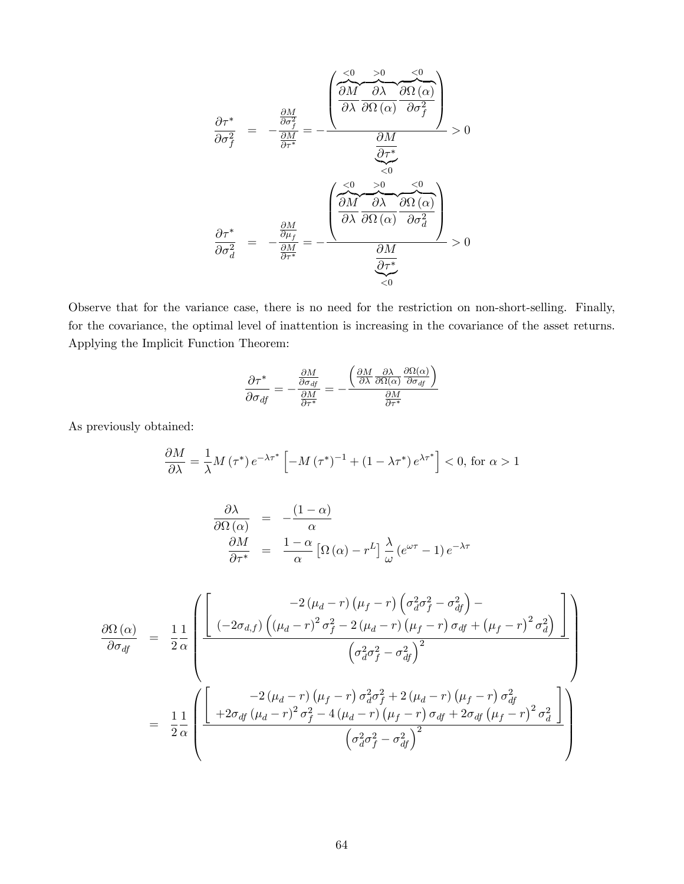$$
\frac{\partial \tau^*}{\partial \sigma_f^2} = -\frac{\frac{\partial M}{\partial \sigma_f^2}}{\frac{\partial M}{\partial \tau^*}} = -\frac{\left(\frac{\partial M}{\partial \lambda} \frac{\partial \lambda}{\partial \Omega} \frac{\partial \Omega}{\partial \Omega} \frac{\partial \Omega}{\partial \sigma_f^2}\right)}{\frac{\partial M}{\partial \tau^*}} > 0
$$
\n
$$
\frac{\partial \tau^*}{\partial \sigma_d^2} = -\frac{\frac{\partial M}{\partial \mu_f}}{\frac{\partial M}{\partial \tau^*}} = -\frac{\left(\frac{\partial M}{\partial \lambda} \frac{\partial \Omega}{\partial \Omega} \frac{\partial \Omega}{\partial \Omega} \frac{\partial \Omega}{\partial \sigma_d^2}\right)}{\frac{\partial M}{\partial \tau^*}} > 0
$$

Observe that for the variance case, there is no need for the restriction on non-short-selling. Finally, for the covariance, the optimal level of inattention is increasing in the covariance of the asset returns. Applying the Implicit Function Theorem:

$$
\frac{\partial \tau^*}{\partial \sigma_{df}} = -\frac{\frac{\partial M}{\partial \sigma_{df}}}{\frac{\partial M}{\partial \tau^*}} = -\frac{\left(\frac{\partial M}{\partial \lambda} \frac{\partial \lambda}{\partial \Omega(\alpha)} \frac{\partial \Omega(\alpha)}{\partial \sigma_{df}}\right)}{\frac{\partial M}{\partial \tau^*}}
$$

As previously obtained:

$$
\frac{\partial M}{\partial \lambda} = \frac{1}{\lambda} M \left( \tau^* \right) e^{-\lambda \tau^*} \left[ -M \left( \tau^* \right)^{-1} + \left( 1 - \lambda \tau^* \right) e^{\lambda \tau^*} \right] < 0, \text{ for } \alpha > 1
$$

$$
\frac{\partial \lambda}{\partial \Omega(\alpha)} = -\frac{(1-\alpha)}{\alpha} \n\frac{\partial M}{\partial \tau^*} = \frac{1-\alpha}{\alpha} \left[ \Omega(\alpha) - r^L \right] \frac{\lambda}{\omega} \left( e^{\omega \tau} - 1 \right) e^{-\lambda \tau}
$$

$$
\frac{\partial \Omega(\alpha)}{\partial \sigma_{df}} = \frac{1}{2} \frac{1}{\alpha} \left( \frac{-2(\mu_d - r) (\mu_f - r) (\sigma_d^2 \sigma_f^2 - \sigma_{df}^2) - (2(\mu_d - r) (\mu_f - r) (\sigma_{df} + (\mu_f - r)^2 \sigma_d^2))}{(\sigma_d^2 \sigma_f^2 - \sigma_{df}^2)^2} \right)
$$
\n
$$
= \frac{1}{2} \frac{1}{\alpha} \left( \frac{-2(\mu_d - r) (\mu_f - r) \sigma_d^2 \sigma_f^2 + 2(\mu_d - r) (\mu_f - r) \sigma_{df}^2}{(\sigma_d^2 \sigma_f^2 + 2(\mu_d - r) (\mu_f - r) \sigma_{df}^2 + 2\sigma_{df} (\mu_f - r)^2 \sigma_d^2)} \right)
$$